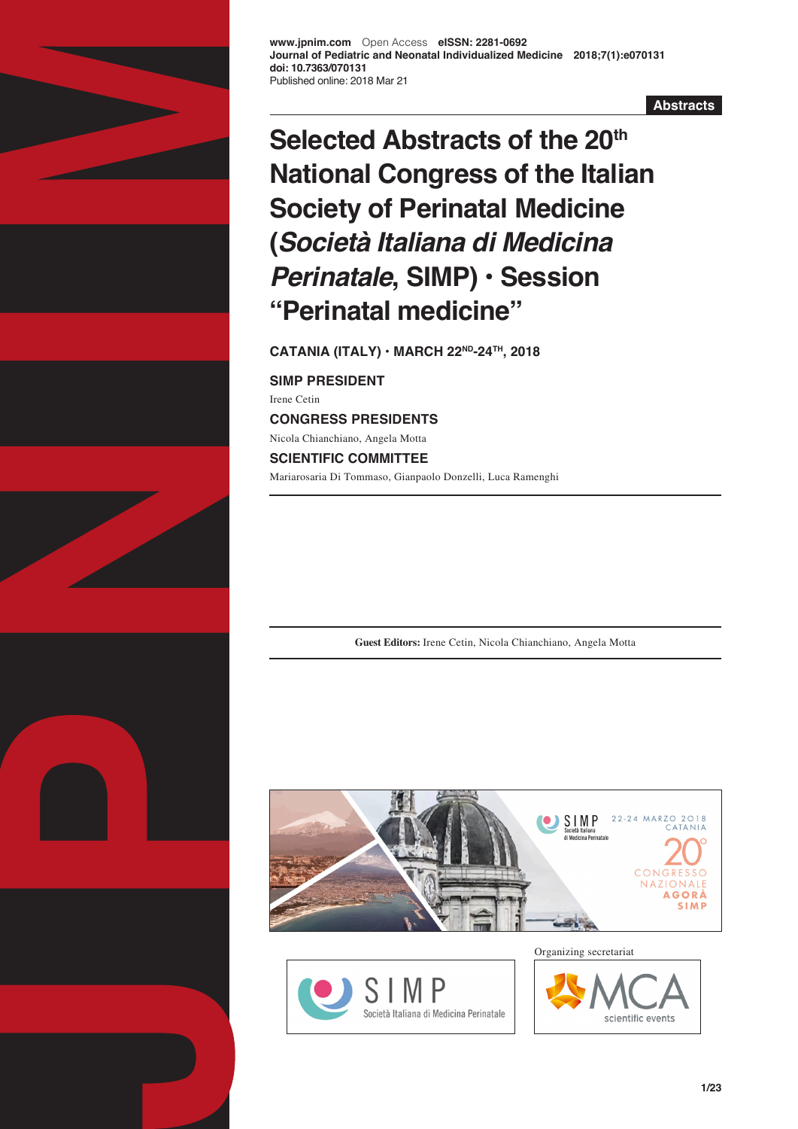

**Abstracts**

# **Selected Abstracts of the 20th National Congress of the Italian Society of Perinatal Medicine (***Società Italiana di Medicina Perinatale***, SIMP) • Session "Perinatal medicine"**

**CATANIA (ITALY) • MARCH 22ND-24TH, 2018**

**SIMP PRESIDENT** Irene Cetin **CONGRESS PRESIDENTS** Nicola Chianchiano, Angela Motta **SCIENTIFIC COMMITTEE** Mariarosaria Di Tommaso, Gianpaolo Donzelli, Luca Ramenghi

**Guest Editors:** Irene Cetin, Nicola Chianchiano, Angela Motta





Organizing secretariat

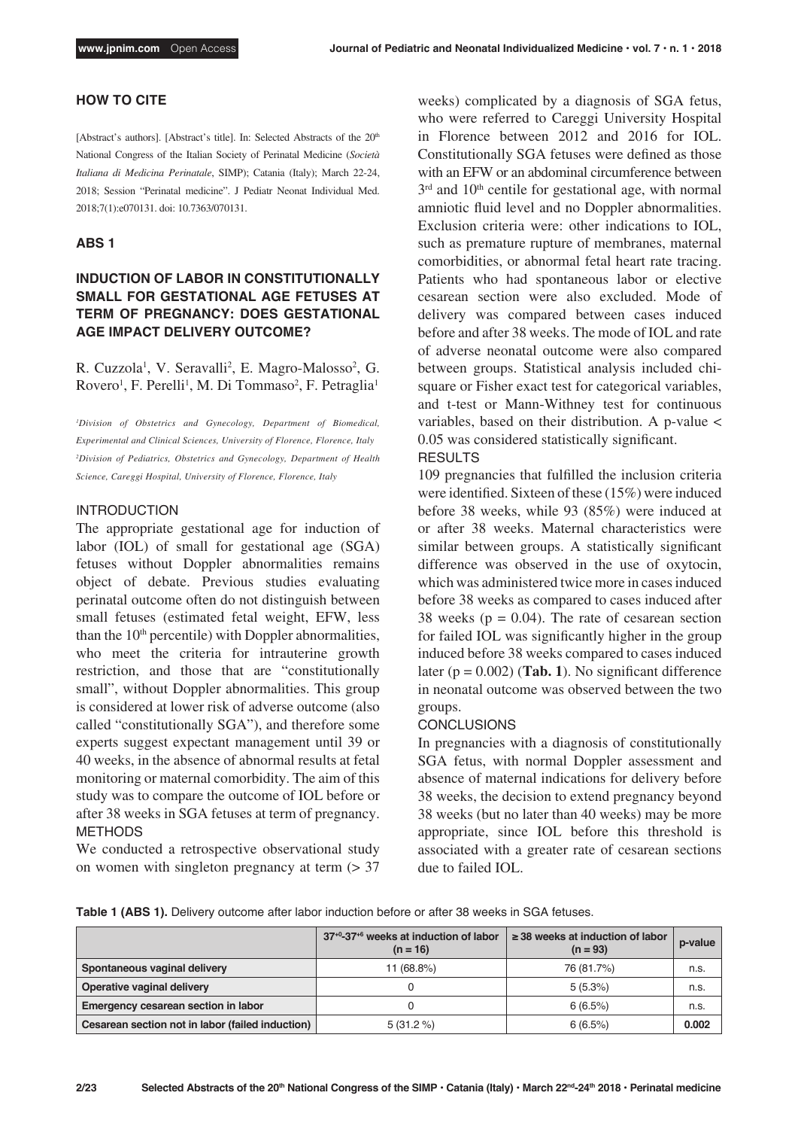### **HOW TO CITE**

[Abstract's authors]. [Abstract's title]. In: Selected Abstracts of the 20<sup>th</sup> National Congress of the Italian Society of Perinatal Medicine (*Società Italiana di Medicina Perinatale*, SIMP); Catania (Italy); March 22-24, 2018; Session "Perinatal medicine". J Pediatr Neonat Individual Med. 2018;7(1):e070131. doi: 10.7363/070131.

#### **ABS 1**

### **INDUCTION OF LABOR IN CONSTITUTIONALLY SMALL FOR GESTATIONAL AGE FETUSES AT TERM OF PREGNANCY: DOES GESTATIONAL AGE IMPACT DELIVERY OUTCOME?**

R. Cuzzola<sup>1</sup>, V. Seravalli<sup>2</sup>, E. Magro-Malosso<sup>2</sup>, G. Rovero<sup>1</sup>, F. Perelli<sup>1</sup>, M. Di Tommaso<sup>2</sup>, F. Petraglia<sup>1</sup>

*1 Division of Obstetrics and Gynecology, Department of Biomedical, Experimental and Clinical Sciences, University of Florence, Florence, Italy 2 Division of Pediatrics, Obstetrics and Gynecology, Department of Health Science, Careggi Hospital, University of Florence, Florence, Italy*

#### INTRODUCTION

The appropriate gestational age for induction of labor (IOL) of small for gestational age (SGA) fetuses without Doppler abnormalities remains object of debate. Previous studies evaluating perinatal outcome often do not distinguish between small fetuses (estimated fetal weight, EFW, less than the  $10<sup>th</sup>$  percentile) with Doppler abnormalities, who meet the criteria for intrauterine growth restriction, and those that are "constitutionally small", without Doppler abnormalities. This group is considered at lower risk of adverse outcome (also called "constitutionally SGA"), and therefore some experts suggest expectant management until 39 or 40 weeks, in the absence of abnormal results at fetal monitoring or maternal comorbidity. The aim of this study was to compare the outcome of IOL before or after 38 weeks in SGA fetuses at term of pregnancy. METHODS

We conducted a retrospective observational study on women with singleton pregnancy at term  $(> 37$  weeks) complicated by a diagnosis of SGA fetus, who were referred to Careggi University Hospital in Florence between 2012 and 2016 for IOL. Constitutionally SGA fetuses were defined as those with an EFW or an abdominal circumference between 3<sup>rd</sup> and 10<sup>th</sup> centile for gestational age, with normal amniotic fluid level and no Doppler abnormalities. Exclusion criteria were: other indications to IOL, such as premature rupture of membranes, maternal comorbidities, or abnormal fetal heart rate tracing. Patients who had spontaneous labor or elective cesarean section were also excluded. Mode of delivery was compared between cases induced before and after 38 weeks. The mode of IOL and rate of adverse neonatal outcome were also compared between groups. Statistical analysis included chisquare or Fisher exact test for categorical variables, and t-test or Mann-Withney test for continuous variables, based on their distribution. A p-value < 0.05 was considered statistically significant.

#### RESULTS

109 pregnancies that fulfilled the inclusion criteria were identified. Sixteen of these (15%) were induced before 38 weeks, while 93 (85%) were induced at or after 38 weeks. Maternal characteristics were similar between groups. A statistically significant difference was observed in the use of oxytocin, which was administered twice more in cases induced before 38 weeks as compared to cases induced after 38 weeks ( $p = 0.04$ ). The rate of cesarean section for failed IOL was significantly higher in the group induced before 38 weeks compared to cases induced later ( $p = 0.002$ ) (**Tab. 1**). No significant difference in neonatal outcome was observed between the two groups.

#### **CONCLUSIONS**

In pregnancies with a diagnosis of constitutionally SGA fetus, with normal Doppler assessment and absence of maternal indications for delivery before 38 weeks, the decision to extend pregnancy beyond 38 weeks (but no later than 40 weeks) may be more appropriate, since IOL before this threshold is associated with a greater rate of cesarean sections due to failed IOL.

**Table 1 (ABS 1).** Delivery outcome after labor induction before or after 38 weeks in SGA fetuses.

|                                                  | 37 <sup>+0</sup> -37 <sup>+6</sup> weeks at induction of labor<br>$(n = 16)$ | $\geq$ 38 weeks at induction of labor<br>$(n = 93)$ | p-value |
|--------------------------------------------------|------------------------------------------------------------------------------|-----------------------------------------------------|---------|
| Spontaneous vaginal delivery                     | 11 (68.8%)                                                                   | 76 (81.7%)                                          | n.s.    |
| Operative vaginal delivery                       |                                                                              | $5(5.3\%)$                                          | n.s.    |
| Emergency cesarean section in labor              |                                                                              | 6(6.5%)                                             | n.s.    |
| Cesarean section not in labor (failed induction) | $5(31.2\%)$                                                                  | 6(6.5%)                                             | 0.002   |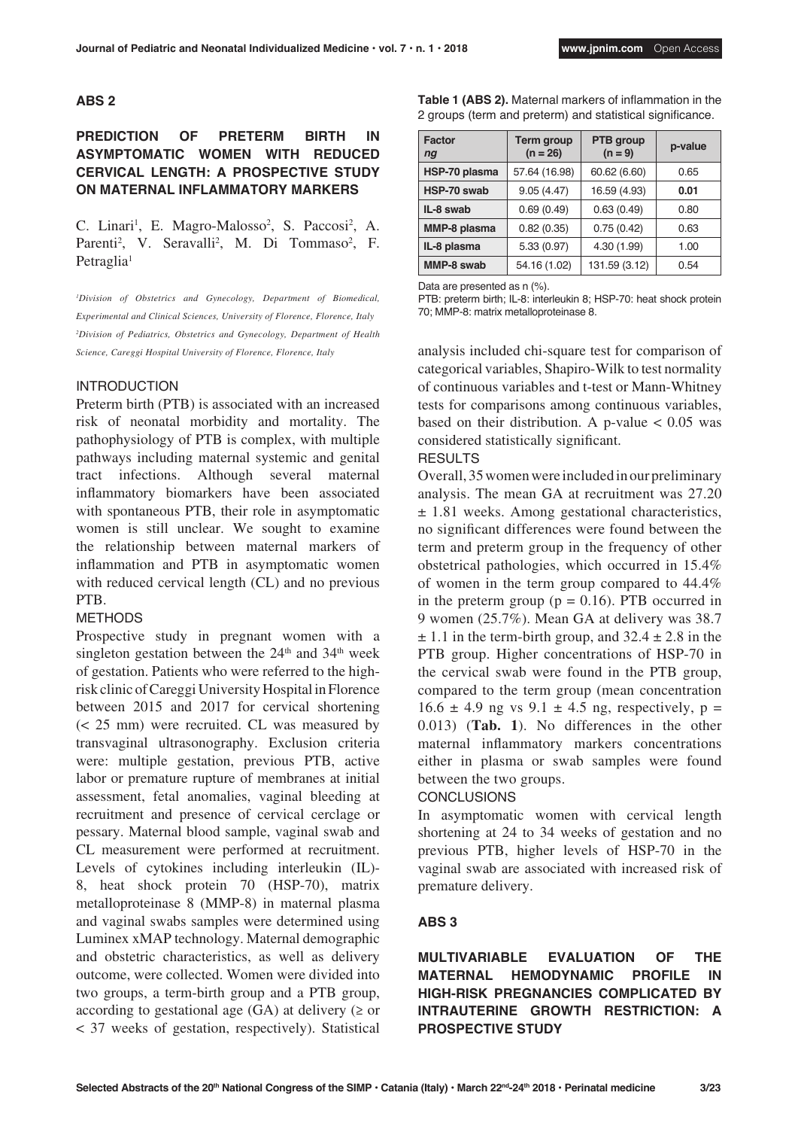#### **ABS 2**

### **PREDICTION OF PRETERM BIRTH IN ASYMPTOMATIC WOMEN WITH REDUCED CERVICAL LENGTH: A PROSPECTIVE STUDY ON MATERNAL INFLAMMATORY MARKERS**

C. Linari<sup>1</sup>, E. Magro-Malosso<sup>2</sup>, S. Paccosi<sup>2</sup>, A. Parenti<sup>2</sup>, V. Seravalli<sup>2</sup>, M. Di Tommaso<sup>2</sup>, F. Petraglia<sup>1</sup>

*1 Division of Obstetrics and Gynecology, Department of Biomedical, Experimental and Clinical Sciences, University of Florence, Florence, Italy 2 Division of Pediatrics, Obstetrics and Gynecology, Department of Health Science, Careggi Hospital University of Florence, Florence, Italy*

#### INTRODUCTION

Preterm birth (PTB) is associated with an increased risk of neonatal morbidity and mortality. The pathophysiology of PTB is complex, with multiple pathways including maternal systemic and genital tract infections. Although several maternal inflammatory biomarkers have been associated with spontaneous PTB, their role in asymptomatic women is still unclear. We sought to examine the relationship between maternal markers of inflammation and PTB in asymptomatic women with reduced cervical length (CL) and no previous PTB.

#### **METHODS**

Prospective study in pregnant women with a singleton gestation between the  $24<sup>th</sup>$  and  $34<sup>th</sup>$  week of gestation. Patients who were referred to the highrisk clinic of Careggi University Hospital in Florence between 2015 and 2017 for cervical shortening (< 25 mm) were recruited. CL was measured by transvaginal ultrasonography. Exclusion criteria were: multiple gestation, previous PTB, active labor or premature rupture of membranes at initial assessment, fetal anomalies, vaginal bleeding at recruitment and presence of cervical cerclage or pessary. Maternal blood sample, vaginal swab and CL measurement were performed at recruitment. Levels of cytokines including interleukin (IL)- 8, heat shock protein 70 (HSP-70), matrix metalloproteinase 8 (MMP-8) in maternal plasma and vaginal swabs samples were determined using Luminex xMAP technology. Maternal demographic and obstetric characteristics, as well as delivery outcome, were collected. Women were divided into two groups, a term-birth group and a PTB group, according to gestational age  $(GA)$  at delivery  $(\geq$  or < 37 weeks of gestation, respectively). Statistical

| <b>Factor</b><br>ng | Term group<br>$(n = 26)$ | PTB group<br>$(n = 9)$ | p-value |
|---------------------|--------------------------|------------------------|---------|
| HSP-70 plasma       | 57.64 (16.98)            | 60.62 (6.60)           | 0.65    |
| HSP-70 swab         | 9.05(4.47)               | 16.59 (4.93)           | 0.01    |
| IL-8 swab           | 0.69(0.49)               | 0.63(0.49)             | 0.80    |
| MMP-8 plasma        | 0.82(0.35)               | 0.75(0.42)             | 0.63    |
| IL-8 plasma         | 5.33(0.97)               | 4.30 (1.99)            | 1.00    |
| MMP-8 swab          | 54.16 (1.02)             | 131.59 (3.12)          | 0.54    |

**Table 1 (ABS 2).** Maternal markers of inflammation in the 2 groups (term and preterm) and statistical significance.

Data are presented as n (%).

PTB: preterm birth; IL-8: interleukin 8; HSP-70: heat shock protein 70; MMP-8: matrix metalloproteinase 8.

analysis included chi-square test for comparison of categorical variables, Shapiro-Wilk to test normality of continuous variables and t-test or Mann-Whitney tests for comparisons among continuous variables, based on their distribution. A p-value  $< 0.05$  was considered statistically significant.

#### RESULTS

Overall, 35 women were included in our preliminary analysis. The mean GA at recruitment was 27.20 ± 1.81 weeks. Among gestational characteristics, no significant differences were found between the term and preterm group in the frequency of other obstetrical pathologies, which occurred in 15.4% of women in the term group compared to 44.4% in the preterm group ( $p = 0.16$ ). PTB occurred in 9 women (25.7%). Mean GA at delivery was 38.7  $\pm$  1.1 in the term-birth group, and 32.4  $\pm$  2.8 in the PTB group. Higher concentrations of HSP-70 in the cervical swab were found in the PTB group, compared to the term group (mean concentration  $16.6 \pm 4.9$  ng vs  $9.1 \pm 4.5$  ng, respectively, p = 0.013) (**Tab. 1**). No differences in the other maternal inflammatory markers concentrations either in plasma or swab samples were found between the two groups.

#### **CONCLUSIONS**

In asymptomatic women with cervical length shortening at 24 to 34 weeks of gestation and no previous PTB, higher levels of HSP-70 in the vaginal swab are associated with increased risk of premature delivery.

#### **ABS 3**

**MULTIVARIABLE EVALUATION OF THE MATERNAL HEMODYNAMIC PROFILE IN HIGH-RISK PREGNANCIES COMPLICATED BY INTRAUTERINE GROWTH RESTRICTION: A PROSPECTIVE STUDY**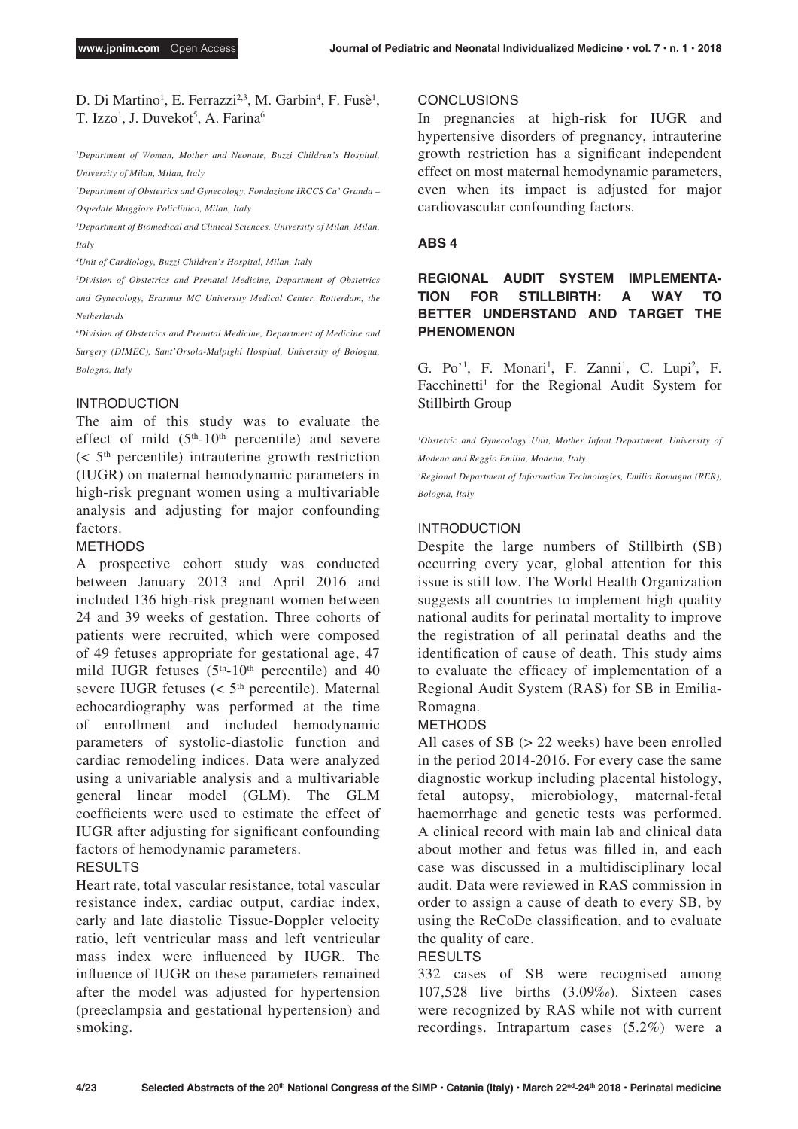### D. Di Martino<sup>1</sup>, E. Ferrazzi<sup>2,3</sup>, M. Garbin<sup>4</sup>, F. Fusè<sup>1</sup>, T. Izzo<sup>1</sup>, J. Duvekot<sup>5</sup>, A. Farina<sup>6</sup>

*1 Department of Woman, Mother and Neonate, Buzzi Children's Hospital, University of Milan, Milan, Italy*

*2 Department of Obstetrics and Gynecology, Fondazione IRCCS Ca' Granda – Ospedale Maggiore Policlinico, Milan, Italy*

*3 Department of Biomedical and Clinical Sciences, University of Milan, Milan, Italy*

*4 Unit of Cardiology, Buzzi Children's Hospital, Milan, Italy*

*5 Division of Obstetrics and Prenatal Medicine, Department of Obstetrics and Gynecology, Erasmus MC University Medical Center, Rotterdam, the Netherlands*

*6 Division of Obstetrics and Prenatal Medicine, Department of Medicine and Surgery (DIMEC), Sant'Orsola-Malpighi Hospital, University of Bologna, Bologna, Italy*

### INTRODUCTION

The aim of this study was to evaluate the effect of mild  $(5<sup>th</sup>-10<sup>th</sup>$  percentile) and severe  $(< 5<sup>th</sup>$  percentile) intrauterine growth restriction (IUGR) on maternal hemodynamic parameters in high-risk pregnant women using a multivariable analysis and adjusting for major confounding factors.

#### METHODS

A prospective cohort study was conducted between January 2013 and April 2016 and included 136 high-risk pregnant women between 24 and 39 weeks of gestation. Three cohorts of patients were recruited, which were composed of 49 fetuses appropriate for gestational age, 47 mild IUGR fetuses  $(5<sup>th</sup>-10<sup>th</sup>$  percentile) and 40 severe IUGR fetuses  $(< 5<sup>th</sup>$  percentile). Maternal echocardiography was performed at the time of enrollment and included hemodynamic parameters of systolic-diastolic function and cardiac remodeling indices. Data were analyzed using a univariable analysis and a multivariable general linear model (GLM). The GLM coefficients were used to estimate the effect of IUGR after adjusting for significant confounding factors of hemodynamic parameters.

### RESULTS

Heart rate, total vascular resistance, total vascular resistance index, cardiac output, cardiac index, early and late diastolic Tissue-Doppler velocity ratio, left ventricular mass and left ventricular mass index were influenced by IUGR. The influence of IUGR on these parameters remained after the model was adjusted for hypertension (preeclampsia and gestational hypertension) and smoking.

#### **CONCLUSIONS**

In pregnancies at high-risk for IUGR and hypertensive disorders of pregnancy, intrauterine growth restriction has a significant independent effect on most maternal hemodynamic parameters, even when its impact is adjusted for major cardiovascular confounding factors.

#### **ABS 4**

**REGIONAL AUDIT SYSTEM IMPLEMENTA-TION FOR STILLBIRTH: A WAY TO BETTER UNDERSTAND AND TARGET THE PHENOMENON**

G. Po'<sup>1</sup>, F. Monari<sup>1</sup>, F. Zanni<sup>1</sup>, C. Lupi<sup>2</sup>, F. Facchinetti<sup>1</sup> for the Regional Audit System for Stillbirth Group

<sup>1</sup>Obstetric and Gynecology Unit, Mother Infant Department, University of *Modena and Reggio Emilia, Modena, Italy*

*2 Regional Department of Information Technologies, Emilia Romagna (RER), Bologna, Italy*

#### INTRODUCTION

Despite the large numbers of Stillbirth (SB) occurring every year, global attention for this issue is still low. The World Health Organization suggests all countries to implement high quality national audits for perinatal mortality to improve the registration of all perinatal deaths and the identification of cause of death. This study aims to evaluate the efficacy of implementation of a Regional Audit System (RAS) for SB in Emilia-Romagna.

#### METHODS

All cases of SB (> 22 weeks) have been enrolled in the period 2014-2016. For every case the same diagnostic workup including placental histology, fetal autopsy, microbiology, maternal-fetal haemorrhage and genetic tests was performed. A clinical record with main lab and clinical data about mother and fetus was filled in, and each case was discussed in a multidisciplinary local audit. Data were reviewed in RAS commission in order to assign a cause of death to every SB, by using the ReCoDe classification, and to evaluate the quality of care.

### RESULTS

332 cases of SB were recognised among 107,528 live births (3.09‰). Sixteen cases were recognized by RAS while not with current recordings. Intrapartum cases (5.2%) were a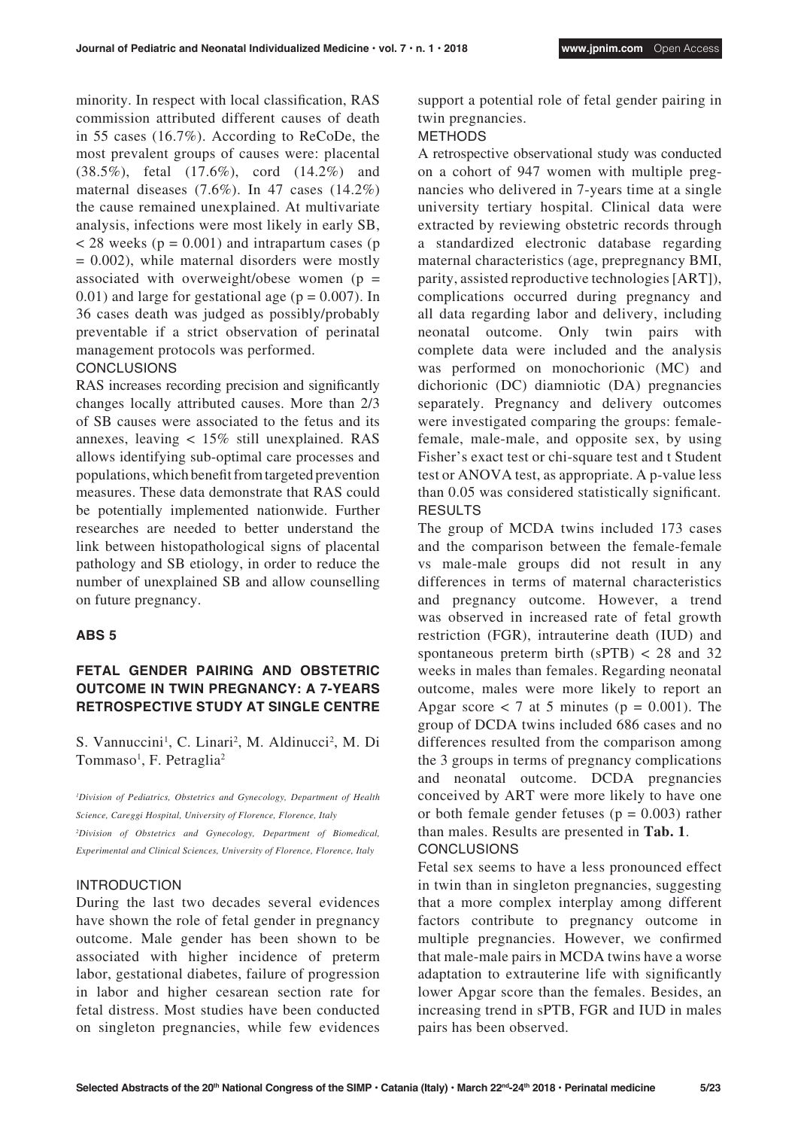minority. In respect with local classification, RAS commission attributed different causes of death in 55 cases (16.7%). According to ReCoDe, the most prevalent groups of causes were: placental (38.5%), fetal (17.6%), cord (14.2%) and maternal diseases (7.6%). In 47 cases (14.2%) the cause remained unexplained. At multivariate analysis, infections were most likely in early SB,  $<$  28 weeks ( $p = 0.001$ ) and intrapartum cases ( $p$ )  $= 0.002$ ), while maternal disorders were mostly associated with overweight/obese women ( $p =$  $(0.01)$  and large for gestational age ( $p = 0.007$ ). In 36 cases death was judged as possibly/probably preventable if a strict observation of perinatal management protocols was performed.

#### CONCLUSIONS

RAS increases recording precision and significantly changes locally attributed causes. More than 2/3 of SB causes were associated to the fetus and its annexes, leaving < 15% still unexplained. RAS allows identifying sub-optimal care processes and populations, which benefit from targeted prevention measures. These data demonstrate that RAS could be potentially implemented nationwide. Further researches are needed to better understand the link between histopathological signs of placental pathology and SB etiology, in order to reduce the number of unexplained SB and allow counselling on future pregnancy.

#### **ABS 5**

### **FETAL GENDER PAIRING AND OBSTETRIC OUTCOME IN TWIN PREGNANCY: A 7-YEARS RETROSPECTIVE STUDY AT SINGLE CENTRE**

S. Vannuccini<sup>1</sup>, C. Linari<sup>2</sup>, M. Aldinucci<sup>2</sup>, M. Di Tommaso<sup>1</sup>, F. Petraglia<sup>2</sup>

*1 Division of Pediatrics, Obstetrics and Gynecology, Department of Health Science, Careggi Hospital, University of Florence, Florence, Italy 2 Division of Obstetrics and Gynecology, Department of Biomedical, Experimental and Clinical Sciences, University of Florence, Florence, Italy*

#### INTRODUCTION

During the last two decades several evidences have shown the role of fetal gender in pregnancy outcome. Male gender has been shown to be associated with higher incidence of preterm labor, gestational diabetes, failure of progression in labor and higher cesarean section rate for fetal distress. Most studies have been conducted on singleton pregnancies, while few evidences

support a potential role of fetal gender pairing in twin pregnancies.

### METHODS

A retrospective observational study was conducted on a cohort of 947 women with multiple pregnancies who delivered in 7-years time at a single university tertiary hospital. Clinical data were extracted by reviewing obstetric records through a standardized electronic database regarding maternal characteristics (age, prepregnancy BMI, parity, assisted reproductive technologies [ART]), complications occurred during pregnancy and all data regarding labor and delivery, including neonatal outcome. Only twin pairs with complete data were included and the analysis was performed on monochorionic (MC) and dichorionic (DC) diamniotic (DA) pregnancies separately. Pregnancy and delivery outcomes were investigated comparing the groups: femalefemale, male-male, and opposite sex, by using Fisher's exact test or chi-square test and t Student test or ANOVA test, as appropriate. A p-value less than 0.05 was considered statistically significant. RESULTS

The group of MCDA twins included 173 cases and the comparison between the female-female vs male-male groups did not result in any differences in terms of maternal characteristics and pregnancy outcome. However, a trend was observed in increased rate of fetal growth restriction (FGR), intrauterine death (IUD) and spontaneous preterm birth ( $sPTB$ ) < 28 and 32 weeks in males than females. Regarding neonatal outcome, males were more likely to report an Apgar score  $< 7$  at 5 minutes ( $p = 0.001$ ). The group of DCDA twins included 686 cases and no differences resulted from the comparison among the 3 groups in terms of pregnancy complications and neonatal outcome. DCDA pregnancies conceived by ART were more likely to have one or both female gender fetuses ( $p = 0.003$ ) rather than males. Results are presented in **Tab. 1**. **CONCLUSIONS** 

Fetal sex seems to have a less pronounced effect in twin than in singleton pregnancies, suggesting that a more complex interplay among different factors contribute to pregnancy outcome in multiple pregnancies. However, we confirmed that male-male pairs in MCDA twins have a worse adaptation to extrauterine life with significantly lower Apgar score than the females. Besides, an increasing trend in sPTB, FGR and IUD in males pairs has been observed.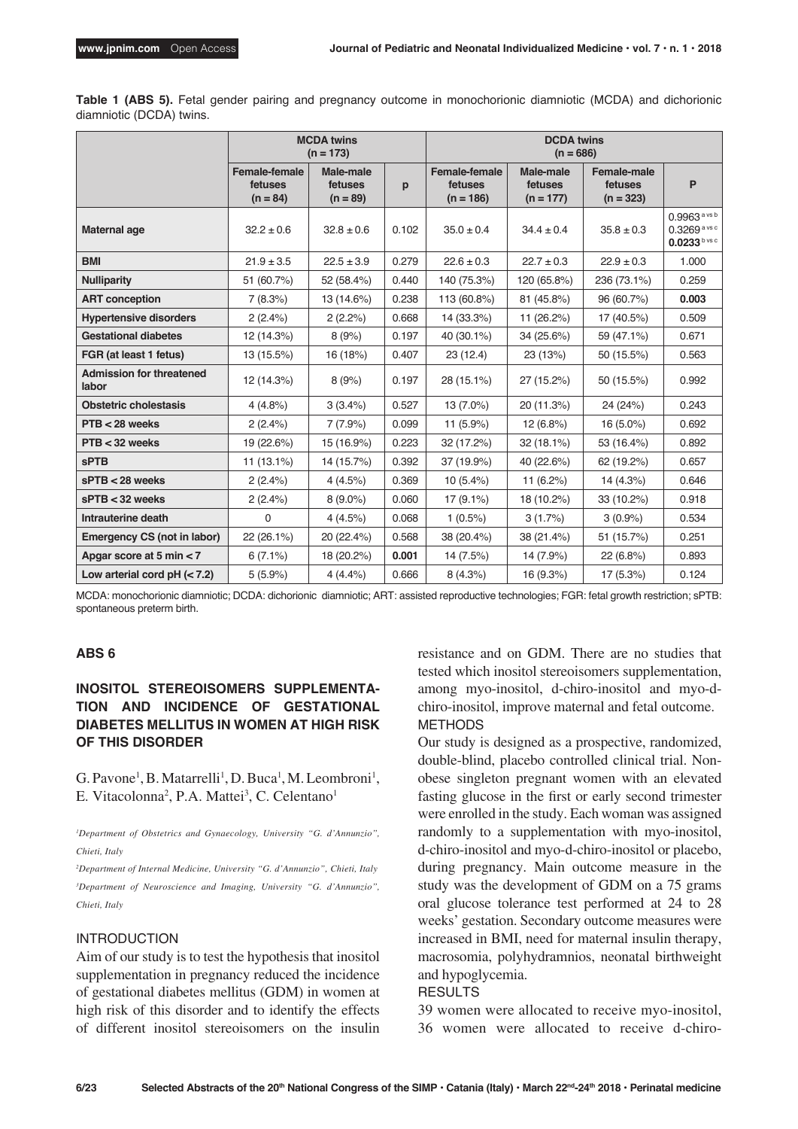**Table 1 (ABS 5).** Fetal gender pairing and pregnancy outcome in monochorionic diamniotic (MCDA) and dichorionic diamniotic (DCDA) twins.

|                                          | <b>MCDA</b> twins<br>$(n = 173)$              |                                    |       |                                                |                                     |                                       |                                                              |
|------------------------------------------|-----------------------------------------------|------------------------------------|-------|------------------------------------------------|-------------------------------------|---------------------------------------|--------------------------------------------------------------|
|                                          | <b>Female-female</b><br>fetuses<br>$(n = 84)$ | Male-male<br>fetuses<br>$(n = 89)$ | p     | <b>Female-female</b><br>fetuses<br>$(n = 186)$ | Male-male<br>fetuses<br>$(n = 177)$ | Female-male<br>fetuses<br>$(n = 323)$ | P                                                            |
| Maternal age                             | $32.2 \pm 0.6$                                | $32.8 \pm 0.6$                     | 0.102 | $35.0 \pm 0.4$                                 | $34.4 \pm 0.4$                      | $35.8 \pm 0.3$                        | $0.9963$ a vs b<br>0.3269 a vs c<br>$0.0233^{\text{b vs c}}$ |
| <b>BMI</b>                               | $21.9 \pm 3.5$                                | $22.5 \pm 3.9$                     | 0.279 | $22.6 \pm 0.3$                                 | $22.7 \pm 0.3$                      | $22.9 \pm 0.3$                        | 1.000                                                        |
| <b>Nulliparity</b>                       | 51 (60.7%)                                    | 52 (58.4%)                         | 0.440 | 140 (75.3%)                                    | 120 (65.8%)                         | 236 (73.1%)                           | 0.259                                                        |
| <b>ART</b> conception                    | 7(8.3%)                                       | 13 (14.6%)                         | 0.238 | 113 (60.8%)                                    | 81 (45.8%)                          | 96 (60.7%)                            | 0.003                                                        |
| <b>Hypertensive disorders</b>            | 2(2.4%)                                       | 2(2.2%)                            | 0.668 | 14 (33.3%)                                     | 11 (26.2%)                          | 17 (40.5%)                            | 0.509                                                        |
| <b>Gestational diabetes</b>              | 12 (14.3%)                                    | 8(9%)                              | 0.197 | 40 (30.1%)                                     | 34 (25.6%)                          | 59 (47.1%)                            | 0.671                                                        |
| FGR (at least 1 fetus)                   | 13 (15.5%)                                    | 16 (18%)                           | 0.407 | 23 (12.4)                                      | 23 (13%)                            | 50 (15.5%)                            | 0.563                                                        |
| <b>Admission for threatened</b><br>labor | 12 (14.3%)                                    | 8(9%)                              | 0.197 | 28 (15.1%)                                     | 27 (15.2%)                          | 50 (15.5%)                            | 0.992                                                        |
| <b>Obstetric cholestasis</b>             | 4(4.8%)                                       | 3(3.4%)                            | 0.527 | 13 (7.0%)                                      | 20 (11.3%)                          | 24 (24%)                              | 0.243                                                        |
| $PTB < 28$ weeks                         | 2(2.4%)                                       | 7(7.9%)                            | 0.099 | $11(5.9\%)$                                    | 12(6.8%)                            | $16(5.0\%)$                           | 0.692                                                        |
| $PTB < 32$ weeks                         | 19 (22.6%)                                    | 15 (16.9%)                         | 0.223 | 32 (17.2%)                                     | 32 (18.1%)                          | 53 (16.4%)                            | 0.892                                                        |
| <b>sPTB</b>                              | $11(13.1\%)$                                  | 14 (15.7%)                         | 0.392 | 37 (19.9%)                                     | 40 (22.6%)                          | 62 (19.2%)                            | 0.657                                                        |
| $sPTB < 28$ weeks                        | 2(2.4%)                                       | 4(4.5%)                            | 0.369 | $10(5.4\%)$                                    | $11(6.2\%)$                         | 14 (4.3%)                             | 0.646                                                        |
| $sPTB < 32$ weeks                        | 2(2.4%)                                       | $8(9.0\%)$                         | 0.060 | $17(9.1\%)$                                    | 18 (10.2%)                          | 33 (10.2%)                            | 0.918                                                        |
| Intrauterine death                       | $\mathbf 0$                                   | 4(4.5%)                            | 0.068 | $1(0.5\%)$                                     | 3(1.7%)                             | $3(0.9\%)$                            | 0.534                                                        |
| Emergency CS (not in labor)              | 22 (26.1%)                                    | 20 (22.4%)                         | 0.568 | 38 (20.4%)                                     | 38 (21.4%)                          | 51 (15.7%)                            | 0.251                                                        |
| Apgar score at 5 min < 7                 | $6(7.1\%)$                                    | 18 (20.2%)                         | 0.001 | 14 (7.5%)                                      | 14 (7.9%)                           | 22(6.8%)                              | 0.893                                                        |
| Low arterial cord pH $(< 7.2)$           | $5(5.9\%)$                                    | 4(4.4%)                            | 0.666 | 8(4.3%)                                        | 16 (9.3%)                           | 17 (5.3%)                             | 0.124                                                        |

MCDA: monochorionic diamniotic; DCDA: dichorionic diamniotic; ART: assisted reproductive technologies; FGR: fetal growth restriction; sPTB: spontaneous preterm birth.

#### **ABS 6**

### **INOSITOL STEREOISOMERS SUPPLEMENTA-TION AND INCIDENCE OF GESTATIONAL DIABETES MELLITUS IN WOMEN AT HIGH RISK OF THIS DISORDER**

G. Pavone<sup>1</sup>, B. Matarrelli<sup>1</sup>, D. Buca<sup>1</sup>, M. Leombroni<sup>1</sup>, E. Vitacolonna<sup>2</sup>, P.A. Mattei<sup>3</sup>, C. Celentano<sup>1</sup>

*1 Department of Obstetrics and Gynaecology, University "G. d'Annunzio", Chieti, Italy*

*2 Department of Internal Medicine, University "G. d'Annunzio", Chieti, Italy 3 Department of Neuroscience and Imaging, University "G. d'Annunzio", Chieti, Italy*

#### INTRODUCTION

Aim of our study is to test the hypothesis that inositol supplementation in pregnancy reduced the incidence of gestational diabetes mellitus (GDM) in women at high risk of this disorder and to identify the effects of different inositol stereoisomers on the insulin resistance and on GDM. There are no studies that tested which inositol stereoisomers supplementation, among myo-inositol, d-chiro-inositol and myo-dchiro-inositol, improve maternal and fetal outcome. METHODS

Our study is designed as a prospective, randomized, double-blind, placebo controlled clinical trial. Nonobese singleton pregnant women with an elevated fasting glucose in the first or early second trimester were enrolled in the study. Each woman was assigned randomly to a supplementation with myo-inositol, d-chiro-inositol and myo-d-chiro-inositol or placebo, during pregnancy. Main outcome measure in the study was the development of GDM on a 75 grams oral glucose tolerance test performed at 24 to 28 weeks' gestation. Secondary outcome measures were increased in BMI, need for maternal insulin therapy, macrosomia, polyhydramnios, neonatal birthweight and hypoglycemia.

#### RESULTS

39 women were allocated to receive myo-inositol, 36 women were allocated to receive d-chiro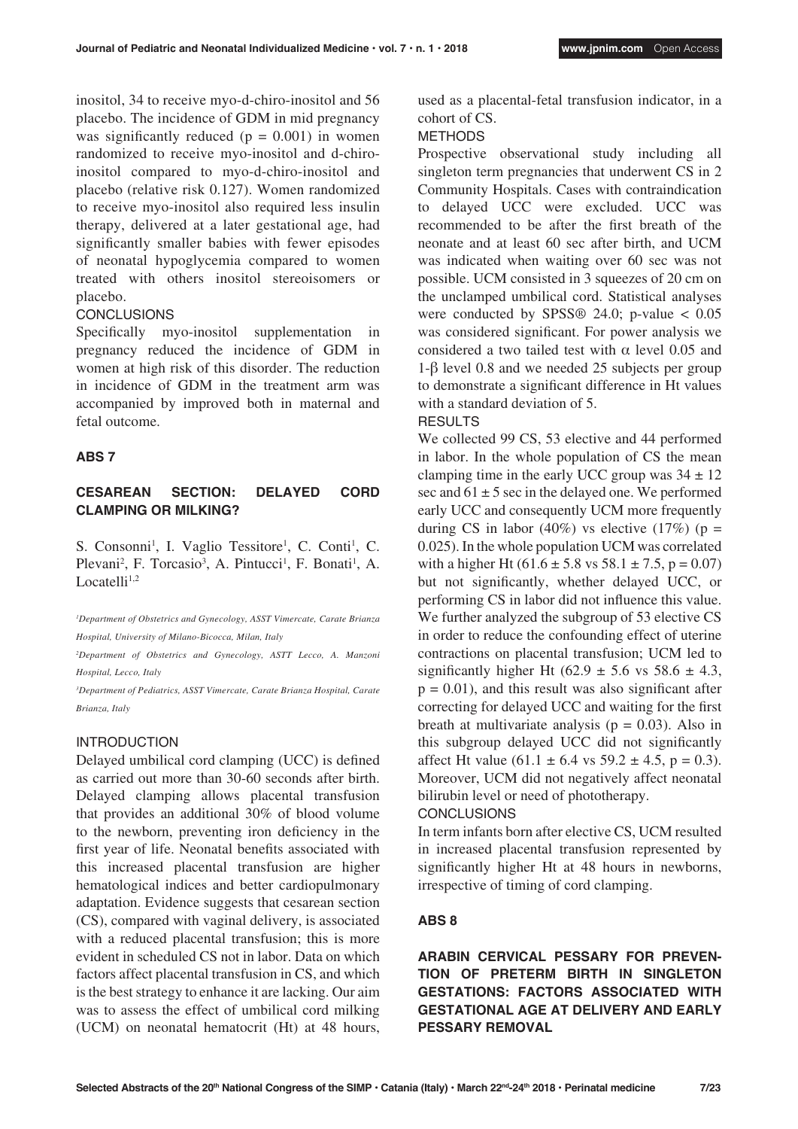inositol, 34 to receive myo-d-chiro-inositol and 56 placebo. The incidence of GDM in mid pregnancy was significantly reduced  $(p = 0.001)$  in women randomized to receive myo-inositol and d-chiroinositol compared to myo-d-chiro-inositol and placebo (relative risk 0.127). Women randomized to receive myo-inositol also required less insulin therapy, delivered at a later gestational age, had significantly smaller babies with fewer episodes of neonatal hypoglycemia compared to women treated with others inositol stereoisomers or placebo.

### **CONCLUSIONS**

Specifically myo-inositol supplementation in pregnancy reduced the incidence of GDM in women at high risk of this disorder. The reduction in incidence of GDM in the treatment arm was accompanied by improved both in maternal and fetal outcome.

#### **ABS 7**

### **CESAREAN SECTION: DELAYED CORD CLAMPING OR MILKING?**

S. Consonni<sup>1</sup>, I. Vaglio Tessitore<sup>1</sup>, C. Conti<sup>1</sup>, C. Plevani<sup>2</sup>, F. Torcasio<sup>3</sup>, A. Pintucci<sup>1</sup>, F. Bonati<sup>1</sup>, A. Locatelli $1,2$ 

*1 Department of Obstetrics and Gynecology, ASST Vimercate, Carate Brianza Hospital, University of Milano-Bicocca, Milan, Italy*

*2 Department of Obstetrics and Gynecology, ASTT Lecco, A. Manzoni Hospital, Lecco, Italy*

*3 Department of Pediatrics, ASST Vimercate, Carate Brianza Hospital, Carate Brianza, Italy*

#### INTRODUCTION

Delayed umbilical cord clamping (UCC) is defined as carried out more than 30-60 seconds after birth. Delayed clamping allows placental transfusion that provides an additional 30% of blood volume to the newborn, preventing iron deficiency in the first year of life. Neonatal benefits associated with this increased placental transfusion are higher hematological indices and better cardiopulmonary adaptation. Evidence suggests that cesarean section (CS), compared with vaginal delivery, is associated with a reduced placental transfusion; this is more evident in scheduled CS not in labor. Data on which factors affect placental transfusion in CS, and which is the best strategy to enhance it are lacking. Our aim was to assess the effect of umbilical cord milking (UCM) on neonatal hematocrit (Ht) at 48 hours, used as a placental-fetal transfusion indicator, in a cohort of CS.

#### **METHODS**

Prospective observational study including all singleton term pregnancies that underwent CS in 2 Community Hospitals. Cases with contraindication to delayed UCC were excluded. UCC was recommended to be after the first breath of the neonate and at least 60 sec after birth, and UCM was indicated when waiting over 60 sec was not possible. UCM consisted in 3 squeezes of 20 cm on the unclamped umbilical cord. Statistical analyses were conducted by SPSS<sup>®</sup> 24.0; p-value  $< 0.05$ was considered significant. For power analysis we considered a two tailed test with  $\alpha$  level 0.05 and 1-β level 0.8 and we needed 25 subjects per group to demonstrate a significant difference in Ht values with a standard deviation of 5.

#### RESULTS

We collected 99 CS, 53 elective and 44 performed in labor. In the whole population of CS the mean clamping time in the early UCC group was  $34 \pm 12$ sec and  $61 \pm 5$  sec in the delayed one. We performed early UCC and consequently UCM more frequently during CS in labor (40%) vs elective (17%) ( $p =$ 0.025). In the whole population UCM was correlated with a higher Ht  $(61.6 \pm 5.8 \text{ vs } 58.1 \pm 7.5, \text{ p} = 0.07)$ but not significantly, whether delayed UCC, or performing CS in labor did not influence this value. We further analyzed the subgroup of 53 elective CS in order to reduce the confounding effect of uterine contractions on placental transfusion; UCM led to significantly higher Ht (62.9  $\pm$  5.6 vs 58.6  $\pm$  4.3,  $p = 0.01$ , and this result was also significant after correcting for delayed UCC and waiting for the first breath at multivariate analysis ( $p = 0.03$ ). Also in this subgroup delayed UCC did not significantly affect Ht value  $(61.1 \pm 6.4 \text{ vs } 59.2 \pm 4.5, p = 0.3)$ . Moreover, UCM did not negatively affect neonatal bilirubin level or need of phototherapy.

### **CONCLUSIONS**

In term infants born after elective CS, UCM resulted in increased placental transfusion represented by significantly higher Ht at 48 hours in newborns, irrespective of timing of cord clamping.

#### **ABS 8**

**ARABIN CERVICAL PESSARY FOR PREVEN-TION OF PRETERM BIRTH IN SINGLETON GESTATIONS: FACTORS ASSOCIATED WITH GESTATIONAL AGE AT DELIVERY AND EARLY PESSARY REMOVAL**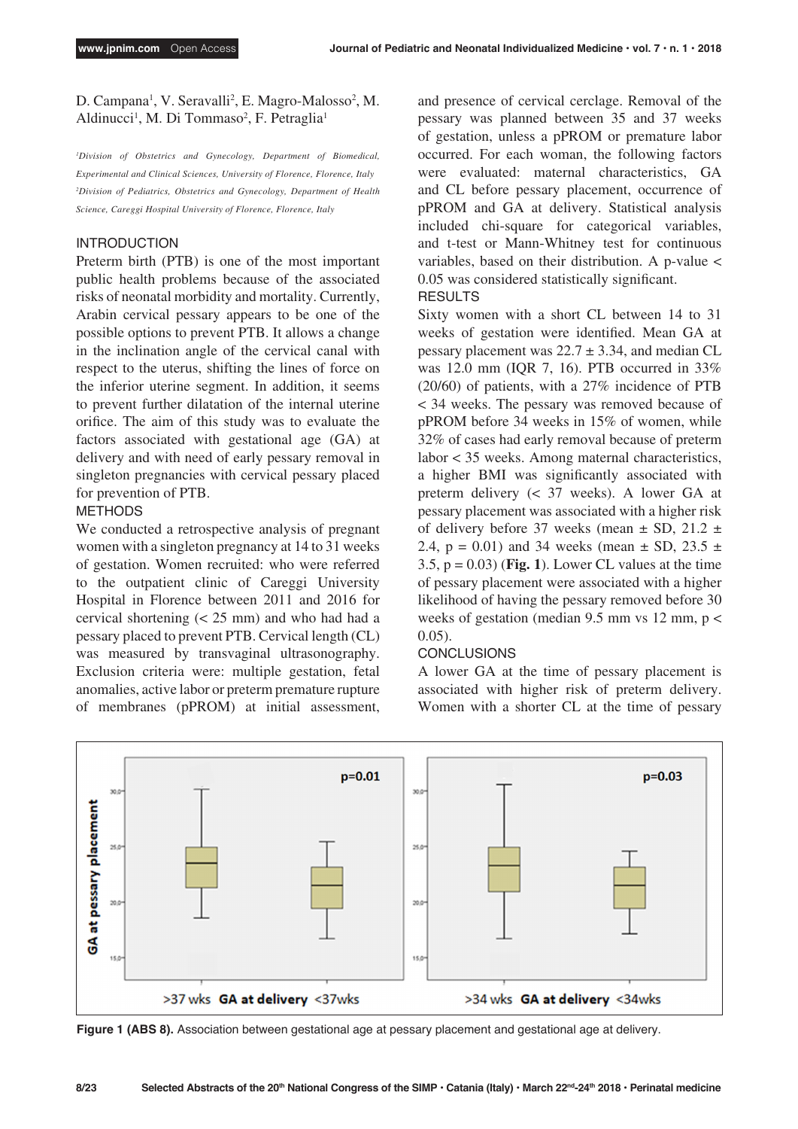D. Campana<sup>1</sup>, V. Seravalli<sup>2</sup>, E. Magro-Malosso<sup>2</sup>, M. Aldinucci<sup>1</sup>, M. Di Tommaso<sup>2</sup>, F. Petraglia<sup>1</sup>

*1 Division of Obstetrics and Gynecology, Department of Biomedical, Experimental and Clinical Sciences, University of Florence, Florence, Italy 2 Division of Pediatrics, Obstetrics and Gynecology, Department of Health Science, Careggi Hospital University of Florence, Florence, Italy*

### INTRODUCTION

Preterm birth (PTB) is one of the most important public health problems because of the associated risks of neonatal morbidity and mortality. Currently, Arabin cervical pessary appears to be one of the possible options to prevent PTB. It allows a change in the inclination angle of the cervical canal with respect to the uterus, shifting the lines of force on the inferior uterine segment. In addition, it seems to prevent further dilatation of the internal uterine orifice. The aim of this study was to evaluate the factors associated with gestational age (GA) at delivery and with need of early pessary removal in singleton pregnancies with cervical pessary placed for prevention of PTB.

#### METHODS

We conducted a retrospective analysis of pregnant women with a singleton pregnancy at 14 to 31 weeks of gestation. Women recruited: who were referred to the outpatient clinic of Careggi University Hospital in Florence between 2011 and 2016 for cervical shortening (< 25 mm) and who had had a pessary placed to prevent PTB. Cervical length (CL) was measured by transvaginal ultrasonography. Exclusion criteria were: multiple gestation, fetal anomalies, active labor or preterm premature rupture of membranes (pPROM) at initial assessment, and presence of cervical cerclage. Removal of the pessary was planned between 35 and 37 weeks of gestation, unless a pPROM or premature labor occurred. For each woman, the following factors were evaluated: maternal characteristics, GA and CL before pessary placement, occurrence of pPROM and GA at delivery. Statistical analysis included chi-square for categorical variables, and t-test or Mann-Whitney test for continuous variables, based on their distribution. A p-value < 0.05 was considered statistically significant. RESULTS

Sixty women with a short CL between 14 to 31 weeks of gestation were identified. Mean GA at pessary placement was  $22.7 \pm 3.34$ , and median CL was 12.0 mm (IQR 7, 16). PTB occurred in 33% (20/60) of patients, with a 27% incidence of PTB < 34 weeks. The pessary was removed because of pPROM before 34 weeks in 15% of women, while 32% of cases had early removal because of preterm labor < 35 weeks. Among maternal characteristics, a higher BMI was significantly associated with preterm delivery (< 37 weeks). A lower GA at pessary placement was associated with a higher risk of delivery before 37 weeks (mean  $\pm$  SD, 21.2  $\pm$ 2.4,  $p = 0.01$ ) and 34 weeks (mean  $\pm$  SD, 23.5  $\pm$ 3.5, p = 0.03) (**Fig. 1**). Lower CL values at the time of pessary placement were associated with a higher likelihood of having the pessary removed before 30 weeks of gestation (median 9.5 mm vs 12 mm,  $p <$ 0.05).

#### **CONCLUSIONS**

A lower GA at the time of pessary placement is associated with higher risk of preterm delivery. Women with a shorter CL at the time of pessary



**Figure 1 (ABS 8).** Association between gestational age at pessary placement and gestational age at delivery.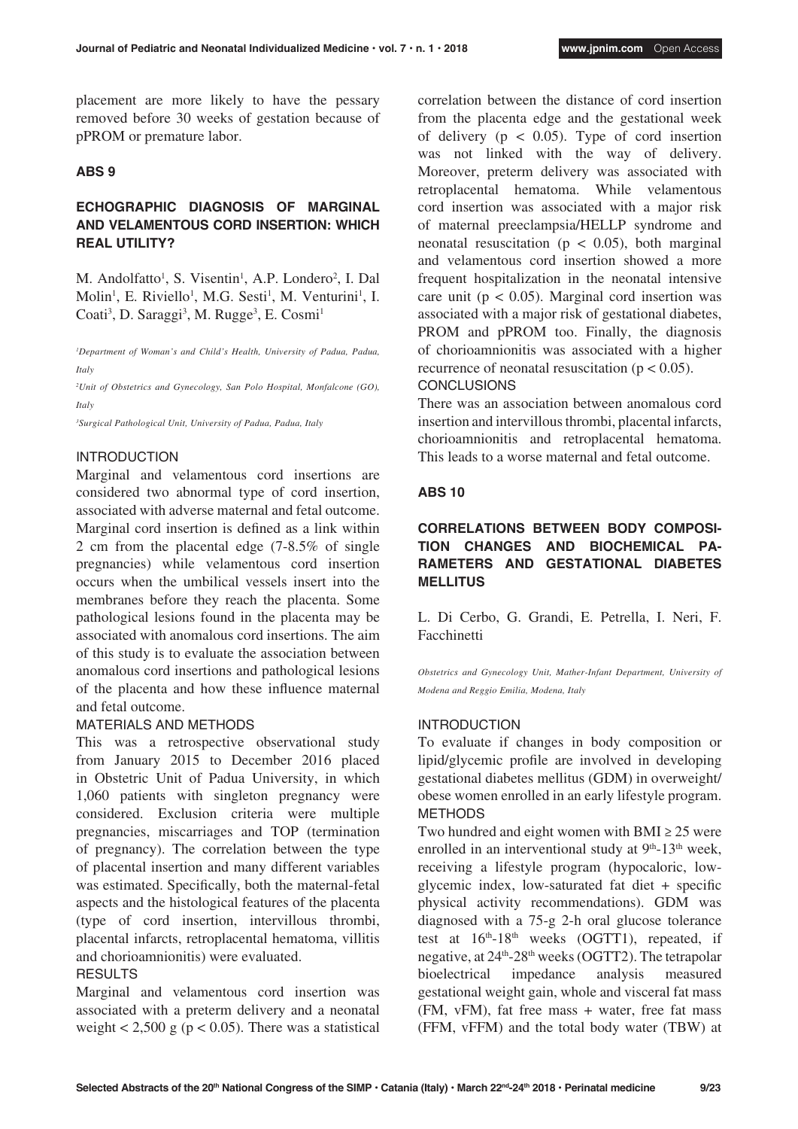placement are more likely to have the pessary removed before 30 weeks of gestation because of pPROM or premature labor.

### **ABS 9**

### **ECHOGRAPHIC DIAGNOSIS OF MARGINAL AND VELAMENTOUS CORD INSERTION: WHICH REAL UTILITY?**

M. Andolfatto<sup>1</sup>, S. Visentin<sup>1</sup>, A.P. Londero<sup>2</sup>, I. Dal Molin<sup>1</sup>, E. Riviello<sup>1</sup>, M.G. Sesti<sup>1</sup>, M. Venturini<sup>1</sup>, I. Coati<sup>3</sup>, D. Saraggi<sup>3</sup>, M. Rugge<sup>3</sup>, E. Cosmi<sup>1</sup>

*1 Department of Woman's and Child's Health, University of Padua, Padua, Italy* 

*2 Unit of Obstetrics and Gynecology, San Polo Hospital, Monfalcone (GO), Italy* 

*3 Surgical Pathological Unit, University of Padua, Padua, Italy*

### INTRODUCTION

Marginal and velamentous cord insertions are considered two abnormal type of cord insertion, associated with adverse maternal and fetal outcome. Marginal cord insertion is defined as a link within 2 cm from the placental edge (7-8.5% of single pregnancies) while velamentous cord insertion occurs when the umbilical vessels insert into the membranes before they reach the placenta. Some pathological lesions found in the placenta may be associated with anomalous cord insertions. The aim of this study is to evaluate the association between anomalous cord insertions and pathological lesions of the placenta and how these influence maternal and fetal outcome.

#### MATERIALS AND METHODS

This was a retrospective observational study from January 2015 to December 2016 placed in Obstetric Unit of Padua University, in which 1,060 patients with singleton pregnancy were considered. Exclusion criteria were multiple pregnancies, miscarriages and TOP (termination of pregnancy). The correlation between the type of placental insertion and many different variables was estimated. Specifically, both the maternal-fetal aspects and the histological features of the placenta (type of cord insertion, intervillous thrombi, placental infarcts, retroplacental hematoma, villitis and chorioamnionitis) were evaluated.

### **RESULTS**

Marginal and velamentous cord insertion was associated with a preterm delivery and a neonatal weight  $< 2,500$  g (p  $< 0.05$ ). There was a statistical correlation between the distance of cord insertion from the placenta edge and the gestational week of delivery ( $p < 0.05$ ). Type of cord insertion was not linked with the way of delivery. Moreover, preterm delivery was associated with retroplacental hematoma. While velamentous cord insertion was associated with a major risk of maternal preeclampsia/HELLP syndrome and neonatal resuscitation ( $p < 0.05$ ), both marginal and velamentous cord insertion showed a more frequent hospitalization in the neonatal intensive care unit ( $p < 0.05$ ). Marginal cord insertion was associated with a major risk of gestational diabetes, PROM and pPROM too. Finally, the diagnosis of chorioamnionitis was associated with a higher recurrence of neonatal resuscitation ( $p < 0.05$ ). CONCLUSIONS

There was an association between anomalous cord insertion and intervillous thrombi, placental infarcts, chorioamnionitis and retroplacental hematoma. This leads to a worse maternal and fetal outcome.

#### **ABS 10**

### **CORRELATIONS BETWEEN BODY COMPOSI-TION CHANGES AND BIOCHEMICAL PA-RAMETERS AND GESTATIONAL DIABETES MELLITUS**

L. Di Cerbo, G. Grandi, E. Petrella, I. Neri, F. Facchinetti

*Obstetrics and Gynecology Unit, Mather-Infant Department, University of Modena and Reggio Emilia, Modena, Italy*

#### INTRODUCTION

To evaluate if changes in body composition or lipid/glycemic profile are involved in developing gestational diabetes mellitus (GDM) in overweight/ obese women enrolled in an early lifestyle program. METHODS

Two hundred and eight women with BMI  $\geq 25$  were enrolled in an interventional study at  $9<sup>th</sup>$ -13<sup>th</sup> week, receiving a lifestyle program (hypocaloric, lowglycemic index, low-saturated fat diet + specific physical activity recommendations). GDM was diagnosed with a 75-g 2-h oral glucose tolerance test at  $16<sup>th</sup> - 18<sup>th</sup>$  weeks (OGTT1), repeated, if negative, at  $24<sup>th</sup> - 28<sup>th</sup>$  weeks (OGTT2). The tetrapolar bioelectrical impedance analysis measured gestational weight gain, whole and visceral fat mass (FM, vFM), fat free mass + water, free fat mass (FFM, vFFM) and the total body water (TBW) at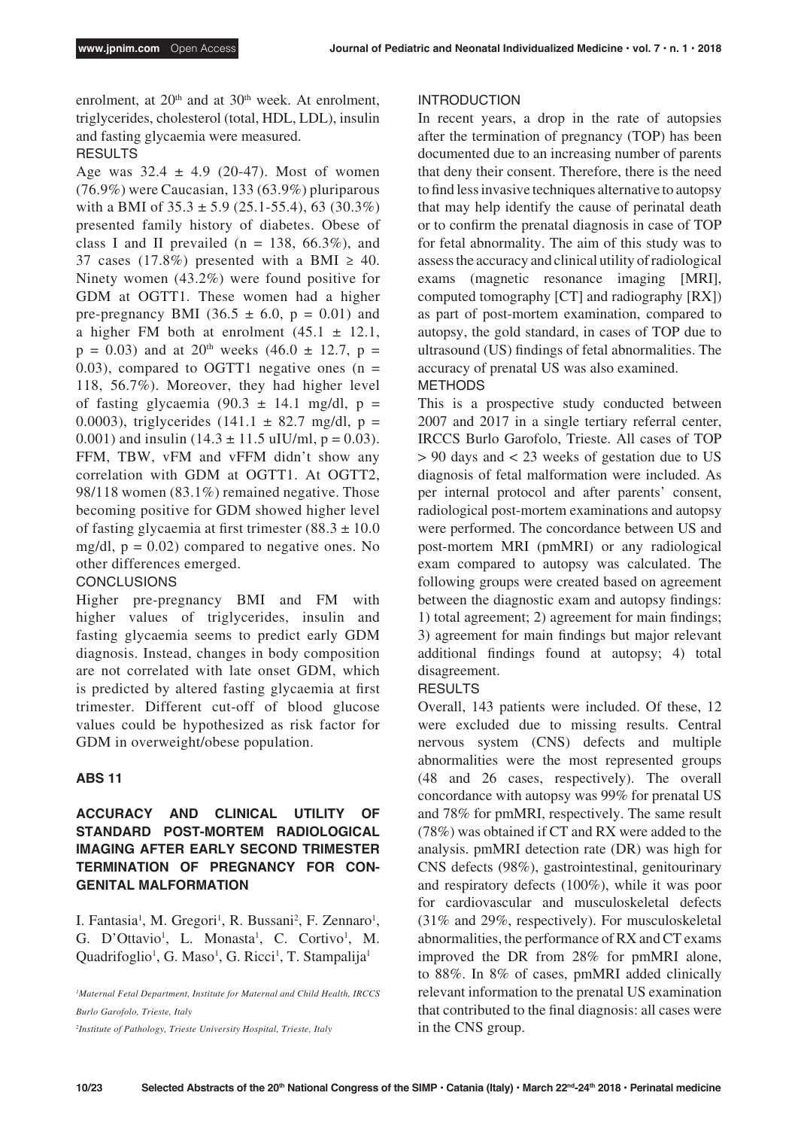enrolment, at  $20<sup>th</sup>$  and at  $30<sup>th</sup>$  week. At enrolment, triglycerides, cholesterol (total, HDL, LDL), insulin and fasting glycaemia were measured.

### RESULTS

Age was  $32.4 \pm 4.9$  (20-47). Most of women (76.9%) were Caucasian, 133 (63.9%) pluriparous with a BMI of  $35.3 \pm 5.9$  (25.1-55.4), 63 (30.3%) presented family history of diabetes. Obese of class I and II prevailed ( $n = 138, 66.3\%$ ), and 37 cases (17.8%) presented with a BMI  $\geq$  40. Ninety women (43.2%) were found positive for GDM at OGTT1. These women had a higher pre-pregnancy BMI (36.5  $\pm$  6.0, p = 0.01) and a higher FM both at enrolment  $(45.1 \pm 12.1,$  $p = 0.03$ ) and at 20<sup>th</sup> weeks (46.0  $\pm$  12.7, p = 0.03), compared to OGTT1 negative ones  $(n =$ 118, 56.7%). Moreover, they had higher level of fasting glycaemia  $(90.3 \pm 14.1 \text{ mg/dl}, p =$ 0.0003), triglycerides  $(141.1 \pm 82.7 \text{ mg/dl}, p =$ 0.001) and insulin  $(14.3 \pm 11.5 \text{ uIU/ml}, p = 0.03)$ . FFM, TBW, vFM and vFFM didn't show any correlation with GDM at OGTT1. At OGTT2, 98/118 women (83.1%) remained negative. Those becoming positive for GDM showed higher level of fasting glycaemia at first trimester  $(88.3 \pm 10.0)$ mg/dl,  $p = 0.02$ ) compared to negative ones. No other differences emerged.

### **CONCLUSIONS**

Higher pre-pregnancy BMI and FM with higher values of triglycerides, insulin and fasting glycaemia seems to predict early GDM diagnosis. Instead, changes in body composition are not correlated with late onset GDM, which is predicted by altered fasting glycaemia at first trimester. Different cut-off of blood glucose values could be hypothesized as risk factor for GDM in overweight/obese population.

### **ABS 11**

### **ACCURACY AND CLINICAL UTILITY OF STANDARD POST-MORTEM RADIOLOGICAL IMAGING AFTER EARLY SECOND TRIMESTER TERMINATION OF PREGNANCY FOR CON-GENITAL MALFORMATION**

I. Fantasia<sup>1</sup>, M. Gregori<sup>1</sup>, R. Bussani<sup>2</sup>, F. Zennaro<sup>1</sup>, G. D'Ottavio<sup>1</sup>, L. Monasta<sup>1</sup>, C. Cortivo<sup>1</sup>, M. Quadrifoglio<sup>1</sup>, G. Maso<sup>1</sup>, G. Ricci<sup>1</sup>, T. Stampalija<sup>1</sup>

*1 Maternal Fetal Department, Institute for Maternal and Child Health, IRCCS Burlo Garofolo, Trieste, Italy*

#### INTRODUCTION

In recent years, a drop in the rate of autopsies after the termination of pregnancy (TOP) has been documented due to an increasing number of parents that deny their consent. Therefore, there is the need to find less invasive techniques alternative to autopsy that may help identify the cause of perinatal death or to confirm the prenatal diagnosis in case of TOP for fetal abnormality. The aim of this study was to assess the accuracy and clinical utility of radiological exams (magnetic resonance imaging [MRI], computed tomography [CT] and radiography [RX]) as part of post-mortem examination, compared to autopsy, the gold standard, in cases of TOP due to ultrasound (US) findings of fetal abnormalities. The accuracy of prenatal US was also examined. METHODS

This is a prospective study conducted between 2007 and 2017 in a single tertiary referral center, IRCCS Burlo Garofolo, Trieste. All cases of TOP > 90 days and < 23 weeks of gestation due to US diagnosis of fetal malformation were included. As per internal protocol and after parents' consent, radiological post-mortem examinations and autopsy were performed. The concordance between US and post-mortem MRI (pmMRI) or any radiological exam compared to autopsy was calculated. The following groups were created based on agreement between the diagnostic exam and autopsy findings: 1) total agreement; 2) agreement for main findings; 3) agreement for main findings but major relevant additional findings found at autopsy; 4) total disagreement.

#### RESULTS

Overall, 143 patients were included. Of these, 12 were excluded due to missing results. Central nervous system (CNS) defects and multiple abnormalities were the most represented groups (48 and 26 cases, respectively). The overall concordance with autopsy was 99% for prenatal US and 78% for pmMRI, respectively. The same result (78%) was obtained if CT and RX were added to the analysis. pmMRI detection rate (DR) was high for CNS defects (98%), gastrointestinal, genitourinary and respiratory defects (100%), while it was poor for cardiovascular and musculoskeletal defects (31% and 29%, respectively). For musculoskeletal abnormalities, the performance of RX and CT exams improved the DR from 28% for pmMRI alone, to 88%. In 8% of cases, pmMRI added clinically relevant information to the prenatal US examination that contributed to the final diagnosis: all cases were in the CNS group.

*<sup>2</sup> Institute of Pathology, Trieste University Hospital, Trieste, Italy*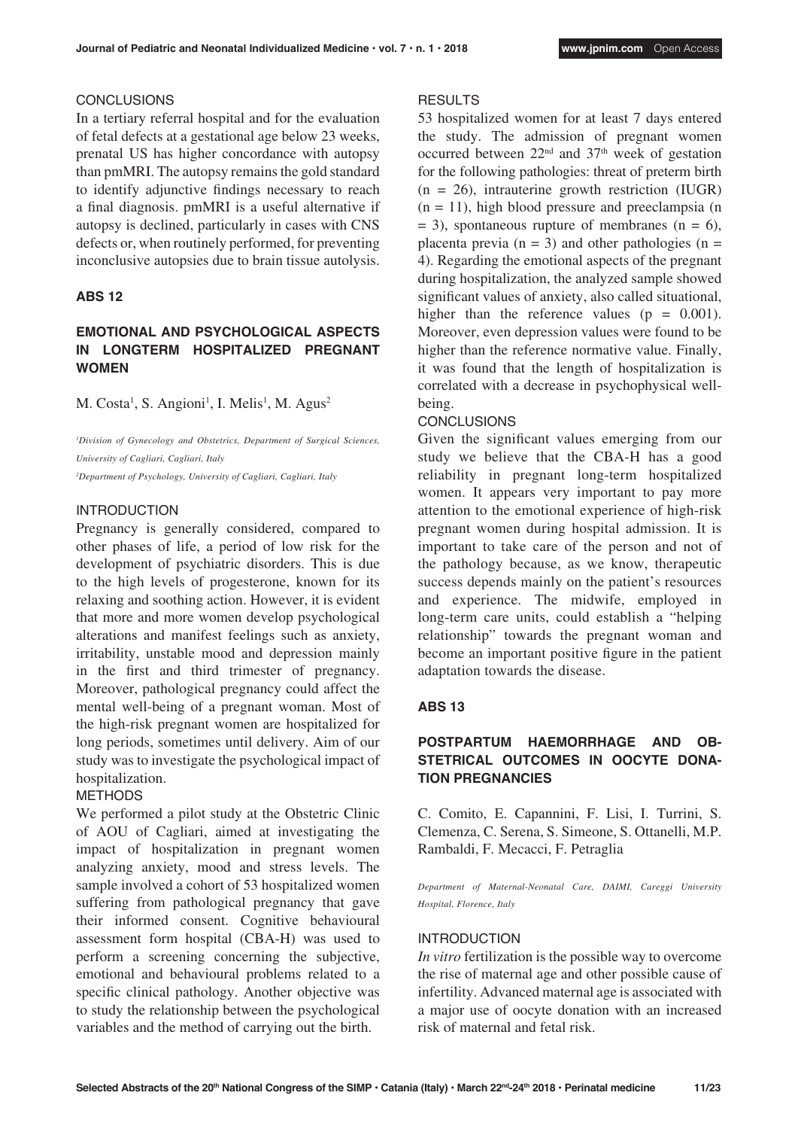#### **CONCLUSIONS**

In a tertiary referral hospital and for the evaluation of fetal defects at a gestational age below 23 weeks, prenatal US has higher concordance with autopsy than pmMRI. The autopsy remains the gold standard to identify adjunctive findings necessary to reach a final diagnosis. pmMRI is a useful alternative if autopsy is declined, particularly in cases with CNS defects or, when routinely performed, for preventing inconclusive autopsies due to brain tissue autolysis.

#### **ABS 12**

### **EMOTIONAL AND PSYCHOLOGICAL ASPECTS IN LONGTERM HOSPITALIZED PREGNANT WOMEN**

M. Costa<sup>1</sup>, S. Angioni<sup>1</sup>, I. Melis<sup>1</sup>, M. Agus<sup>2</sup>

*1 Division of Gynecology and Obstetrics, Department of Surgical Sciences, University of Cagliari, Cagliari, Italy*

*2 Department of Psychology, University of Cagliari, Cagliari, Italy*

#### INTRODUCTION

Pregnancy is generally considered, compared to other phases of life, a period of low risk for the development of psychiatric disorders. This is due to the high levels of progesterone, known for its relaxing and soothing action. However, it is evident that more and more women develop psychological alterations and manifest feelings such as anxiety, irritability, unstable mood and depression mainly in the first and third trimester of pregnancy. Moreover, pathological pregnancy could affect the mental well-being of a pregnant woman. Most of the high-risk pregnant women are hospitalized for long periods, sometimes until delivery. Aim of our study was to investigate the psychological impact of hospitalization.

#### METHODS

We performed a pilot study at the Obstetric Clinic of AOU of Cagliari, aimed at investigating the impact of hospitalization in pregnant women analyzing anxiety, mood and stress levels. The sample involved a cohort of 53 hospitalized women suffering from pathological pregnancy that gave their informed consent. Cognitive behavioural assessment form hospital (CBA-H) was used to perform a screening concerning the subjective, emotional and behavioural problems related to a specific clinical pathology. Another objective was to study the relationship between the psychological variables and the method of carrying out the birth.

#### RESULTS

53 hospitalized women for at least 7 days entered the study. The admission of pregnant women occurred between  $22<sup>nd</sup>$  and  $37<sup>th</sup>$  week of gestation for the following pathologies: threat of preterm birth  $(n = 26)$ , intrauterine growth restriction (IUGR)  $(n = 11)$ , high blood pressure and preeclampsia  $(n = 11)$  $= 3$ ), spontaneous rupture of membranes (n  $= 6$ ), placenta previa  $(n = 3)$  and other pathologies  $(n = 1)$ 4). Regarding the emotional aspects of the pregnant during hospitalization, the analyzed sample showed significant values of anxiety, also called situational, higher than the reference values ( $p = 0.001$ ). Moreover, even depression values were found to be higher than the reference normative value. Finally, it was found that the length of hospitalization is correlated with a decrease in psychophysical wellbeing.

#### **CONCLUSIONS**

Given the significant values emerging from our study we believe that the CBA-H has a good reliability in pregnant long-term hospitalized women. It appears very important to pay more attention to the emotional experience of high-risk pregnant women during hospital admission. It is important to take care of the person and not of the pathology because, as we know, therapeutic success depends mainly on the patient's resources and experience. The midwife, employed in long-term care units, could establish a "helping relationship" towards the pregnant woman and become an important positive figure in the patient adaptation towards the disease.

#### **ABS 13**

### **POSTPARTUM HAEMORRHAGE AND OB-**STETRICAL OUTCOMES IN OOCYTE DONA-**TION PREGNANCIES**

C. Comito, E. Capannini, F. Lisi, I. Turrini, S. Clemenza, C. Serena, S. Simeone, S. Ottanelli, M.P. Rambaldi, F. Mecacci, F. Petraglia

*Department of Maternal-Neonatal Care, DAIMI, Careggi University Hospital, Florence, Italy*

#### INTRODUCTION

*In vitro* fertilization is the possible way to overcome the rise of maternal age and other possible cause of infertility. Advanced maternal age is associated with a major use of oocyte donation with an increased risk of maternal and fetal risk.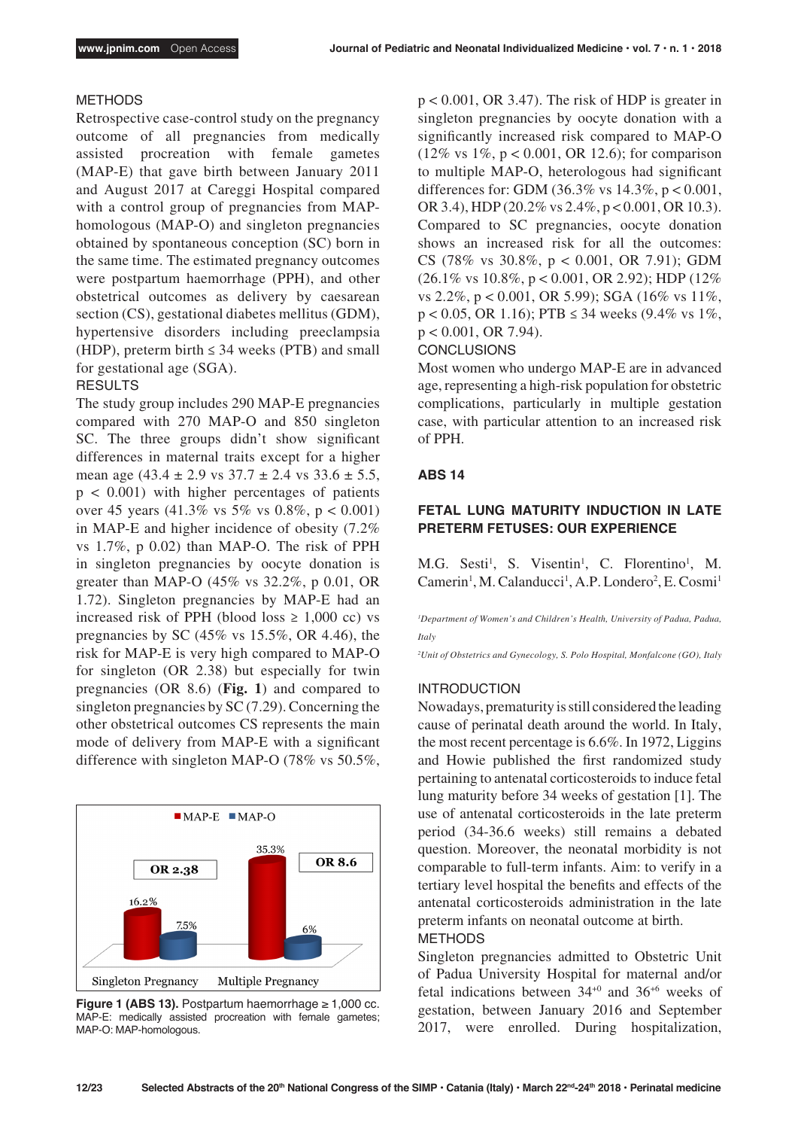#### METHODS

Retrospective case-control study on the pregnancy outcome of all pregnancies from medically assisted procreation with female gametes (MAP-E) that gave birth between January 2011 and August 2017 at Careggi Hospital compared with a control group of pregnancies from MAPhomologous (MAP-O) and singleton pregnancies obtained by spontaneous conception (SC) born in the same time. The estimated pregnancy outcomes were postpartum haemorrhage (PPH), and other obstetrical outcomes as delivery by caesarean section (CS), gestational diabetes mellitus (GDM), hypertensive disorders including preeclampsia (HDP), preterm birth  $\leq$  34 weeks (PTB) and small for gestational age (SGA).

#### **RESULTS**

The study group includes 290 MAP-E pregnancies compared with 270 MAP-O and 850 singleton SC. The three groups didn't show significant differences in maternal traits except for a higher mean age  $(43.4 \pm 2.9 \text{ vs } 37.7 \pm 2.4 \text{ vs } 33.6 \pm 5.5,$  $p < 0.001$ ) with higher percentages of patients over 45 years  $(41.3\% \text{ vs } 5\% \text{ vs } 0.8\%, \text{ p} < 0.001)$ in MAP-E and higher incidence of obesity (7.2% vs 1.7%, p 0.02) than MAP-O. The risk of PPH in singleton pregnancies by oocyte donation is greater than MAP-O (45% vs 32.2%, p 0.01, OR 1.72). Singleton pregnancies by MAP-E had an increased risk of PPH (blood loss  $\geq 1,000$  cc) vs pregnancies by SC  $(45\% \text{ vs } 15.5\%, \text{ OR } 4.46)$ , the risk for MAP-E is very high compared to MAP-O for singleton (OR 2.38) but especially for twin pregnancies (OR 8.6) (**Fig. 1**) and compared to singleton pregnancies by SC (7.29). Concerning the other obstetrical outcomes CS represents the main mode of delivery from MAP-E with a significant difference with singleton MAP-O (78% vs 50.5%,



**Figure 1 (ABS 13).** Postpartum haemorrhage  $\geq 1,000$  cc. MAP-E: medically assisted procreation with female gametes; MAP-O: MAP-homologous.

 $p < 0.001$ , OR 3.47). The risk of HDP is greater in singleton pregnancies by oocyte donation with a significantly increased risk compared to MAP-O (12% vs 1%, p < 0.001, OR 12.6); for comparison to multiple MAP-O, heterologous had significant differences for: GDM (36.3% vs 14.3%, p < 0.001, OR 3.4), HDP (20.2% vs 2.4%, p < 0.001, OR 10.3). Compared to SC pregnancies, oocyte donation shows an increased risk for all the outcomes: CS (78% vs 30.8%, p < 0.001, OR 7.91); GDM (26.1% vs 10.8%, p < 0.001, OR 2.92); HDP (12% vs 2.2%, p < 0.001, OR 5.99); SGA (16% vs 11%,  $p < 0.05$ , OR 1.16); PTB  $\leq$  34 weeks (9.4% vs 1%, p < 0.001, OR 7.94).

#### **CONCLUSIONS**

Most women who undergo MAP-E are in advanced age, representing a high-risk population for obstetric complications, particularly in multiple gestation case, with particular attention to an increased risk of PPH.

#### **ABS 14**

### **FETAL LUNG MATURITY INDUCTION IN LATE PRETERM FETUSES: OUR EXPERIENCE**

M.G. Sesti<sup>1</sup>, S. Visentin<sup>1</sup>, C. Florentino<sup>1</sup>, M. Camerin<sup>1</sup>, M. Calanducci<sup>1</sup>, A.P. Londero<sup>2</sup>, E. Cosmi<sup>1</sup>

<sup>1</sup>Department of Women's and Children's Health, University of Padua, Padua, *Italy*

*2 Unit of Obstetrics and Gynecology, S. Polo Hospital, Monfalcone (GO), Italy*

#### INTRODUCTION

Nowadays, prematurity is still considered the leading cause of perinatal death around the world. In Italy, the most recent percentage is 6.6%. In 1972, Liggins and Howie published the first randomized study pertaining to antenatal corticosteroids to induce fetal lung maturity before 34 weeks of gestation [1]. The use of antenatal corticosteroids in the late preterm period (34-36.6 weeks) still remains a debated question. Moreover, the neonatal morbidity is not comparable to full-term infants. Aim: to verify in a tertiary level hospital the benefits and effects of the antenatal corticosteroids administration in the late preterm infants on neonatal outcome at birth. METHODS

Singleton pregnancies admitted to Obstetric Unit of Padua University Hospital for maternal and/or fetal indications between 34+0 and 36+6 weeks of gestation, between January 2016 and September 2017, were enrolled. During hospitalization,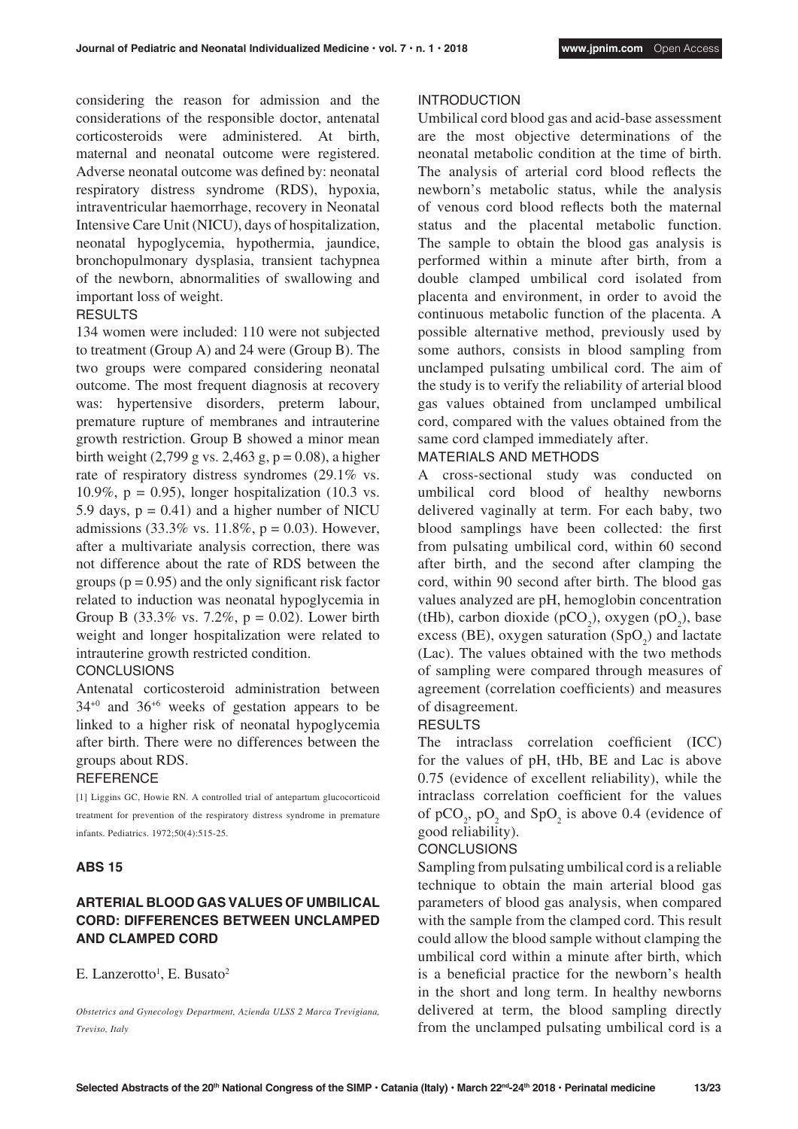considering the reason for admission and the considerations of the responsible doctor, antenatal corticosteroids were administered. At birth, maternal and neonatal outcome were registered. Adverse neonatal outcome was defined by: neonatal respiratory distress syndrome (RDS), hypoxia, intraventricular haemorrhage, recovery in Neonatal Intensive Care Unit (NICU), days of hospitalization, neonatal hypoglycemia, hypothermia, jaundice, bronchopulmonary dysplasia, transient tachypnea of the newborn, abnormalities of swallowing and important loss of weight.

### **RESULTS**

134 women were included: 110 were not subjected to treatment (Group A) and 24 were (Group B). The two groups were compared considering neonatal outcome. The most frequent diagnosis at recovery was: hypertensive disorders, preterm labour, premature rupture of membranes and intrauterine growth restriction. Group B showed a minor mean birth weight  $(2,799 \text{ g vs. } 2,463 \text{ g}, \text{p} = 0.08)$ , a higher rate of respiratory distress syndromes (29.1% vs. 10.9%,  $p = 0.95$ ), longer hospitalization (10.3 vs. 5.9 days,  $p = 0.41$ ) and a higher number of NICU admissions (33.3% vs. 11.8%,  $p = 0.03$ ). However, after a multivariate analysis correction, there was not difference about the rate of RDS between the groups ( $p = 0.95$ ) and the only significant risk factor related to induction was neonatal hypoglycemia in Group B (33.3% vs. 7.2%,  $p = 0.02$ ). Lower birth weight and longer hospitalization were related to intrauterine growth restricted condition.

#### CONCLUSIONS

Antenatal corticosteroid administration between 34+0 and 36+6 weeks of gestation appears to be linked to a higher risk of neonatal hypoglycemia after birth. There were no differences between the groups about RDS.

#### **REFERENCE**

[1] Liggins GC, Howie RN. A controlled trial of antepartum glucocorticoid treatment for prevention of the respiratory distress syndrome in premature infants. Pediatrics. 1972;50(4):515-25.

#### **ABS 15**

### **ARTERIAL BLOOD GAS VALUES OF UMBILICAL CORD: DIFFERENCES BETWEEN UNCLAMPED AND CLAMPED CORD**

E. Lanzerotto<sup>1</sup>, E. Busato<sup>2</sup>

*Obstetrics and Gynecology Department, Azienda ULSS 2 Marca Trevigiana, Treviso, Italy*

#### INTRODUCTION

Umbilical cord blood gas and acid-base assessment are the most objective determinations of the neonatal metabolic condition at the time of birth. The analysis of arterial cord blood reflects the newborn's metabolic status, while the analysis of venous cord blood reflects both the maternal status and the placental metabolic function. The sample to obtain the blood gas analysis is performed within a minute after birth, from a double clamped umbilical cord isolated from placenta and environment, in order to avoid the continuous metabolic function of the placenta. A possible alternative method, previously used by some authors, consists in blood sampling from unclamped pulsating umbilical cord. The aim of the study is to verify the reliability of arterial blood gas values obtained from unclamped umbilical cord, compared with the values obtained from the same cord clamped immediately after.

### MATERIALS AND METHODS

A cross-sectional study was conducted on umbilical cord blood of healthy newborns delivered vaginally at term. For each baby, two blood samplings have been collected: the first from pulsating umbilical cord, within 60 second after birth, and the second after clamping the cord, within 90 second after birth. The blood gas values analyzed are pH, hemoglobin concentration (tHb), carbon dioxide (pCO<sub>2</sub>), oxygen (pO<sub>2</sub>), base excess (BE), oxygen saturation  $(SpO<sub>2</sub>)$  and lactate (Lac). The values obtained with the two methods of sampling were compared through measures of agreement (correlation coefficients) and measures of disagreement.

### **RESULTS**

The intraclass correlation coefficient (ICC) for the values of pH, tHb, BE and Lac is above 0.75 (evidence of excellent reliability), while the intraclass correlation coefficient for the values of  $pCO_2$ ,  $pO_2$  and  $SpO_2$  is above 0.4 (evidence of good reliability).

#### CONCLUSIONS

Sampling from pulsating umbilical cord is a reliable technique to obtain the main arterial blood gas parameters of blood gas analysis, when compared with the sample from the clamped cord. This result could allow the blood sample without clamping the umbilical cord within a minute after birth, which is a beneficial practice for the newborn's health in the short and long term. In healthy newborns delivered at term, the blood sampling directly from the unclamped pulsating umbilical cord is a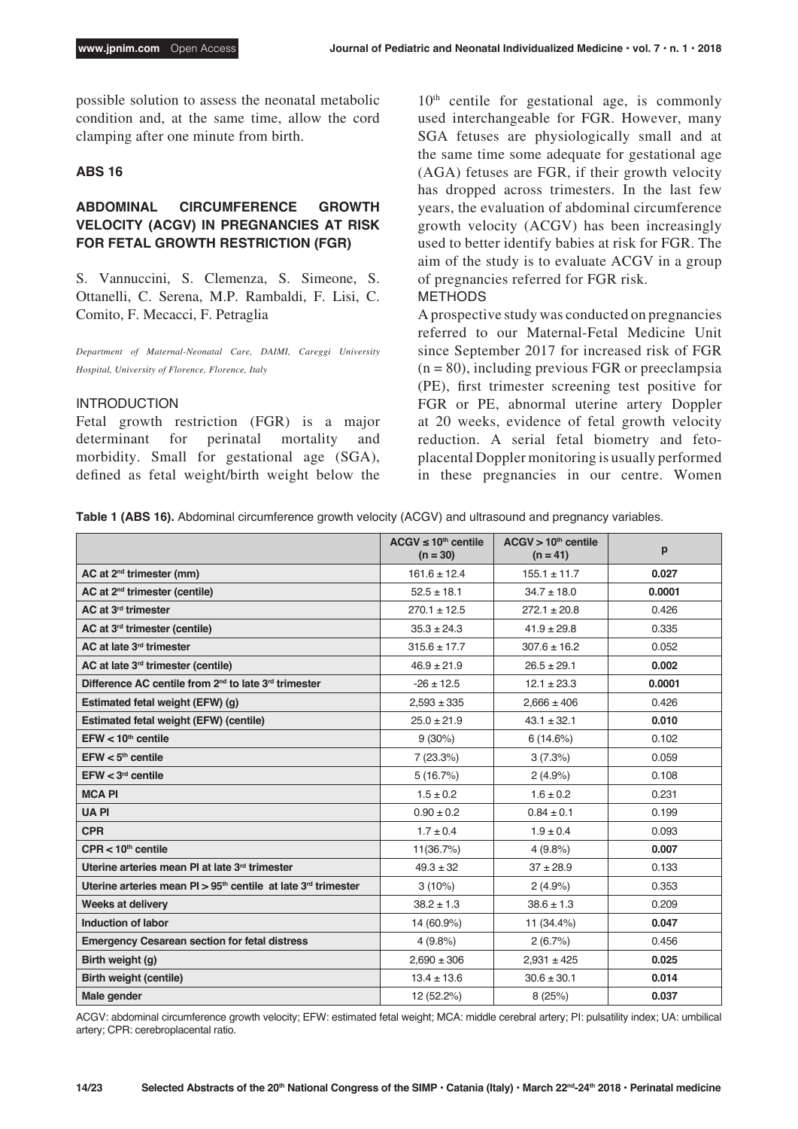possible solution to assess the neonatal metabolic condition and, at the same time, allow the cord clamping after one minute from birth.

#### **ABS 16**

### **ABDOMINAL CIRCUMFERENCE GROWTH VELOCITY (ACGV) IN PREGNANCIES AT RISK FOR FETAL GROWTH RESTRICTION (FGR)**

S. Vannuccini, S. Clemenza, S. Simeone, S. Ottanelli, C. Serena, M.P. Rambaldi, F. Lisi, C. Comito, F. Mecacci, F. Petraglia

*Department of Maternal-Neonatal Care, DAIMI, Careggi University Hospital, University of Florence, Florence, Italy*

#### INTRODUCTION

Fetal growth restriction (FGR) is a major determinant for perinatal mortality and morbidity. Small for gestational age (SGA), defined as fetal weight/birth weight below the  $10<sup>th</sup>$  centile for gestational age, is commonly used interchangeable for FGR. However, many SGA fetuses are physiologically small and at the same time some adequate for gestational age (AGA) fetuses are FGR, if their growth velocity has dropped across trimesters. In the last few years, the evaluation of abdominal circumference growth velocity (ACGV) has been increasingly used to better identify babies at risk for FGR. The aim of the study is to evaluate ACGV in a group of pregnancies referred for FGR risk.

#### METHODS

A prospective study was conducted on pregnancies referred to our Maternal-Fetal Medicine Unit since September 2017 for increased risk of FGR  $(n = 80)$ , including previous FGR or preeclampsia (PE), first trimester screening test positive for FGR or PE, abnormal uterine artery Doppler at 20 weeks, evidence of fetal growth velocity reduction. A serial fetal biometry and fetoplacental Doppler monitoring is usually performed in these pregnancies in our centre. Women

|  |  |  |  |  |  | Table 1 (ABS 16). Abdominal circumference growth velocity (ACGV) and ultrasound and pregnancy variables. |  |
|--|--|--|--|--|--|----------------------------------------------------------------------------------------------------------|--|
|--|--|--|--|--|--|----------------------------------------------------------------------------------------------------------|--|

|                                                                              | $ACGV \leq 10^{th}$ centile<br>$(n = 30)$ | ACGV > 10 <sup>th</sup> centile<br>$(n = 41)$ | p      |
|------------------------------------------------------------------------------|-------------------------------------------|-----------------------------------------------|--------|
| $AC$ at $2nd$ trimester (mm)                                                 | $161.6 \pm 12.4$                          | $155.1 \pm 11.7$                              | 0.027  |
| $AC$ at $2nd$ trimester (centile)                                            | $52.5 \pm 18.1$                           | $34.7 \pm 18.0$                               | 0.0001 |
| AC at 3 <sup>rd</sup> trimester                                              | $270.1 \pm 12.5$                          | $272.1 \pm 20.8$                              | 0.426  |
| AC at 3rd trimester (centile)                                                | $35.3 \pm 24.3$                           | $41.9 \pm 29.8$                               | 0.335  |
| AC at late 3rd trimester                                                     | $315.6 \pm 17.7$                          | $307.6 \pm 16.2$                              | 0.052  |
| AC at late $3rd$ trimester (centile)                                         | $46.9 \pm 21.9$                           | $26.5 \pm 29.1$                               | 0.002  |
| Difference AC centile from 2 <sup>nd</sup> to late 3 <sup>rd</sup> trimester | $-26 \pm 12.5$                            | $12.1 \pm 23.3$                               | 0.0001 |
| Estimated fetal weight (EFW) (g)                                             | $2,593 \pm 335$                           | $2,666 \pm 406$                               | 0.426  |
| <b>Estimated fetal weight (EFW) (centile)</b>                                | $25.0 \pm 21.9$                           | $43.1 \pm 32.1$                               | 0.010  |
| $EFW < 10th$ centile                                                         | $9(30\%)$                                 | 6(14.6%)                                      | 0.102  |
| $EFW < 5th$ centile                                                          | 7(23.3%)                                  | 3(7.3%)                                       | 0.059  |
| $EFW < 3rd$ centile                                                          | 5(16.7%)                                  | 2(4.9%)                                       | 0.108  |
| <b>MCAPI</b>                                                                 | $1.5 \pm 0.2$                             | $1.6 \pm 0.2$                                 | 0.231  |
| <b>UAPI</b>                                                                  | $0.90 \pm 0.2$                            | $0.84 \pm 0.1$                                | 0.199  |
| <b>CPR</b>                                                                   | $1.7 \pm 0.4$                             | $1.9 \pm 0.4$                                 | 0.093  |
| $CPR < 10th$ centile                                                         | 11(36.7%)                                 | 4(9.8%)                                       | 0.007  |
| Uterine arteries mean PI at late 3rd trimester                               | $49.3 \pm 32$                             | $37 + 28.9$                                   | 0.133  |
| Uterine arteries mean $PI > 95th$ centile at late 3 <sup>rd</sup> trimester  | $3(10\%)$                                 | 2(4.9%)                                       | 0.353  |
| <b>Weeks at delivery</b>                                                     | $38.2 \pm 1.3$                            | $38.6 \pm 1.3$                                | 0.209  |
| Induction of labor                                                           | 14 (60.9%)                                | 11 (34.4%)                                    | 0.047  |
| <b>Emergency Cesarean section for fetal distress</b>                         | 4(9.8%                                    | 2(6.7%)                                       | 0.456  |
| Birth weight (g)                                                             | $2,690 \pm 306$                           | $2,931 \pm 425$                               | 0.025  |
| Birth weight (centile)                                                       | $13.4 \pm 13.6$                           | $30.6 \pm 30.1$                               | 0.014  |
| Male gender                                                                  | 12 (52.2%)                                | 8(25%)                                        | 0.037  |

ACGV: abdominal circumference growth velocity; EFW: estimated fetal weight; MCA: middle cerebral artery; PI: pulsatility index; UA: umbilical artery; CPR: cerebroplacental ratio.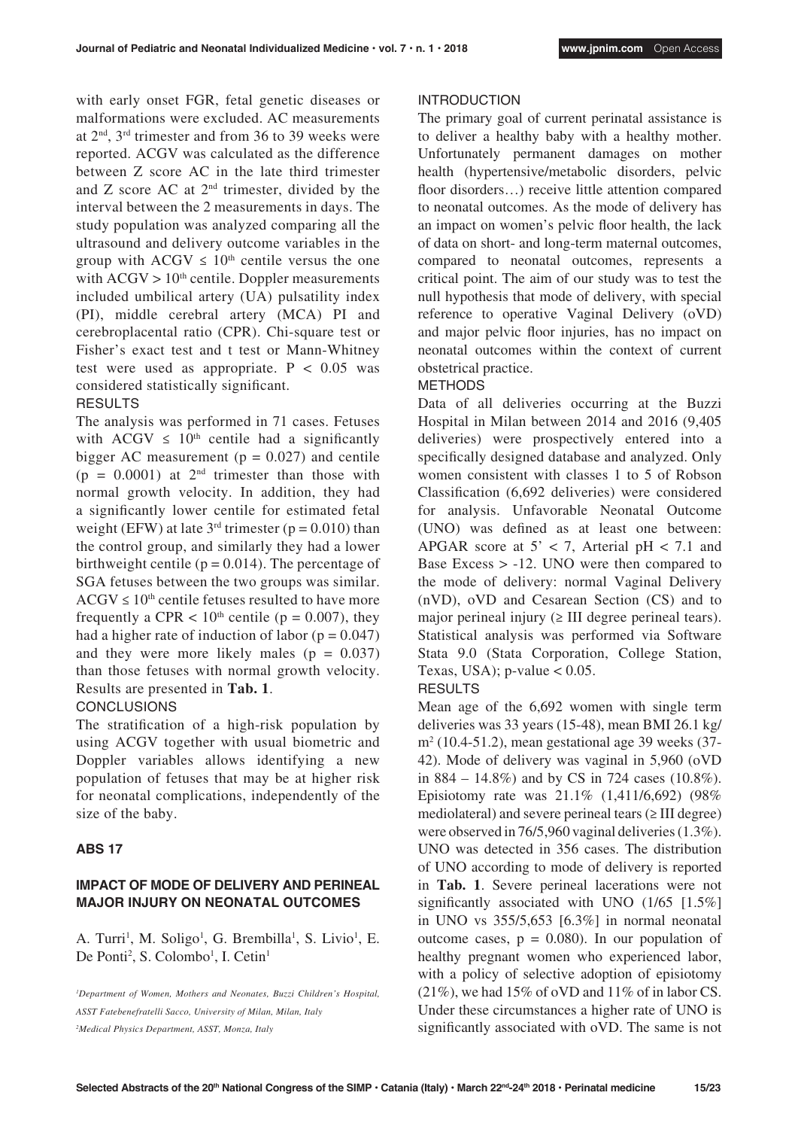with early onset FGR, fetal genetic diseases or malformations were excluded. AC measurements at 2nd, 3rd trimester and from 36 to 39 weeks were reported. ACGV was calculated as the difference between Z score AC in the late third trimester and  $Z$  score AC at  $2<sup>nd</sup>$  trimester, divided by the interval between the 2 measurements in days. The study population was analyzed comparing all the ultrasound and delivery outcome variables in the group with ACGV  $\leq 10^{th}$  centile versus the one with  $ACGV > 10<sup>th</sup>$  centile. Doppler measurements included umbilical artery (UA) pulsatility index (PI), middle cerebral artery (MCA) PI and cerebroplacental ratio (CPR). Chi-square test or Fisher's exact test and t test or Mann-Whitney test were used as appropriate.  $P < 0.05$  was considered statistically significant.

### RESULTS

The analysis was performed in 71 cases. Fetuses with ACGV  $\leq 10^{th}$  centile had a significantly bigger AC measurement ( $p = 0.027$ ) and centile  $(p = 0.0001)$  at  $2<sup>nd</sup>$  trimester than those with normal growth velocity. In addition, they had a significantly lower centile for estimated fetal weight (EFW) at late  $3<sup>rd</sup>$  trimester ( $p = 0.010$ ) than the control group, and similarly they had a lower birthweight centile ( $p = 0.014$ ). The percentage of SGA fetuses between the two groups was similar.  $ACGV \leq 10^{th}$  centile fetuses resulted to have more frequently a CPR  $< 10<sup>th</sup>$  centile (p = 0.007), they had a higher rate of induction of labor  $(p = 0.047)$ and they were more likely males  $(p = 0.037)$ than those fetuses with normal growth velocity. Results are presented in **Tab. 1**.

#### **CONCLUSIONS**

The stratification of a high-risk population by using ACGV together with usual biometric and Doppler variables allows identifying a new population of fetuses that may be at higher risk for neonatal complications, independently of the size of the baby.

#### **ABS 17**

### **IMPACT OF MODE OF DELIVERY AND PERINEAL MAJOR INJURY ON NEONATAL OUTCOMES**

A. Turri<sup>1</sup>, M. Soligo<sup>1</sup>, G. Brembilla<sup>1</sup>, S. Livio<sup>1</sup>, E. De Ponti<sup>2</sup>, S. Colombo<sup>1</sup>, I. Cetin<sup>1</sup>

#### INTRODUCTION

The primary goal of current perinatal assistance is to deliver a healthy baby with a healthy mother. Unfortunately permanent damages on mother health (hypertensive/metabolic disorders, pelvic floor disorders…) receive little attention compared to neonatal outcomes. As the mode of delivery has an impact on women's pelvic floor health, the lack of data on short- and long-term maternal outcomes, compared to neonatal outcomes, represents a critical point. The aim of our study was to test the null hypothesis that mode of delivery, with special reference to operative Vaginal Delivery (oVD) and major pelvic floor injuries, has no impact on neonatal outcomes within the context of current obstetrical practice.

### **METHODS**

Data of all deliveries occurring at the Buzzi Hospital in Milan between 2014 and 2016 (9,405 deliveries) were prospectively entered into a specifically designed database and analyzed. Only women consistent with classes 1 to 5 of Robson Classification (6,692 deliveries) were considered for analysis. Unfavorable Neonatal Outcome (UNO) was defined as at least one between: APGAR score at  $5' < 7$ , Arterial pH  $< 7.1$  and Base Excess > -12. UNO were then compared to the mode of delivery: normal Vaginal Delivery (nVD), oVD and Cesarean Section (CS) and to major perineal injury  $(≥ III$  degree perineal tears). Statistical analysis was performed via Software Stata 9.0 (Stata Corporation, College Station, Texas, USA);  $p$ -value  $< 0.05$ .

#### RESULTS

Mean age of the 6,692 women with single term deliveries was 33 years (15-48), mean BMI 26.1 kg/ m2 (10.4-51.2), mean gestational age 39 weeks (37- 42). Mode of delivery was vaginal in 5,960 (oVD in 884 – 14.8%) and by CS in 724 cases (10.8%). Episiotomy rate was 21.1% (1,411/6,692) (98% mediolateral) and severe perineal tears  $(\geq III$  degree) were observed in 76/5,960 vaginal deliveries (1.3%). UNO was detected in 356 cases. The distribution of UNO according to mode of delivery is reported in **Tab. 1**. Severe perineal lacerations were not significantly associated with UNO (1/65 [1.5%] in UNO vs 355/5,653 [6.3%] in normal neonatal outcome cases,  $p = 0.080$ . In our population of healthy pregnant women who experienced labor, with a policy of selective adoption of episiotomy  $(21\%)$ , we had 15% of oVD and 11% of in labor CS. Under these circumstances a higher rate of UNO is significantly associated with oVD. The same is not

*<sup>1</sup> Department of Women, Mothers and Neonates, Buzzi Children's Hospital, ASST Fatebenefratelli Sacco, University of Milan, Milan, Italy 2 Medical Physics Department, ASST, Monza, Italy*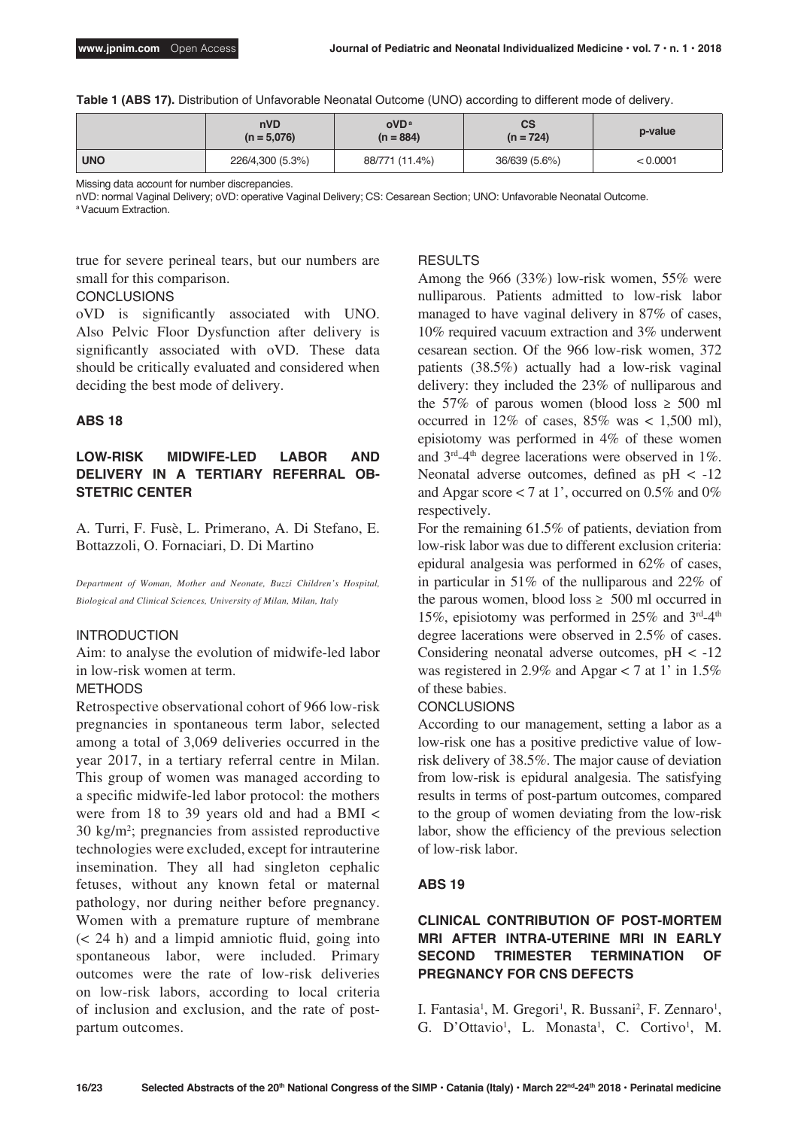|  |  | Table 1 (ABS 17). Distribution of Unfavorable Neonatal Outcome (UNO) according to different mode of delivery. |  |  |  |  |  |  |
|--|--|---------------------------------------------------------------------------------------------------------------|--|--|--|--|--|--|
|--|--|---------------------------------------------------------------------------------------------------------------|--|--|--|--|--|--|

|            | nVD<br>$(n = 5,076)$ | oVD <sup>a</sup><br>$(n = 884)$ | <b>CS</b><br>$(n = 724)$ | p-value  |
|------------|----------------------|---------------------------------|--------------------------|----------|
| <b>UNO</b> | 226/4,300 (5.3%)     | 88/771 (11.4%)                  | 36/639 (5.6%)            | < 0.0001 |

Missing data account for number discrepancies.

nVD: normal Vaginal Delivery; oVD: operative Vaginal Delivery; CS: Cesarean Section; UNO: Unfavorable Neonatal Outcome. a Vacuum Extraction.

true for severe perineal tears, but our numbers are small for this comparison.

#### **CONCLUSIONS**

oVD is significantly associated with UNO. Also Pelvic Floor Dysfunction after delivery is significantly associated with oVD. These data should be critically evaluated and considered when deciding the best mode of delivery.

#### **ABS 18**

### **LOW-RISK MIDWIFE-LED LABOR AND DELIVERY IN A TERTIARY REFERRAL OB-STETRIC CENTER**

A. Turri, F. Fusè, L. Primerano, A. Di Stefano, E. Bottazzoli, O. Fornaciari, D. Di Martino

*Department of Woman, Mother and Neonate, Buzzi Children's Hospital, Biological and Clinical Sciences, University of Milan, Milan, Italy*

#### INTRODUCTION

Aim: to analyse the evolution of midwife-led labor in low-risk women at term.

#### METHODS

Retrospective observational cohort of 966 low-risk pregnancies in spontaneous term labor, selected among a total of 3,069 deliveries occurred in the year 2017, in a tertiary referral centre in Milan. This group of women was managed according to a specific midwife-led labor protocol: the mothers were from 18 to 39 years old and had a BMI < 30 kg/m2 ; pregnancies from assisted reproductive technologies were excluded, except for intrauterine insemination. They all had singleton cephalic fetuses, without any known fetal or maternal pathology, nor during neither before pregnancy. Women with a premature rupture of membrane (< 24 h) and a limpid amniotic fluid, going into spontaneous labor, were included. Primary outcomes were the rate of low-risk deliveries on low-risk labors, according to local criteria of inclusion and exclusion, and the rate of postpartum outcomes.

#### RESULTS

Among the 966 (33%) low-risk women, 55% were nulliparous. Patients admitted to low-risk labor managed to have vaginal delivery in 87% of cases, 10% required vacuum extraction and 3% underwent cesarean section. Of the 966 low-risk women, 372 patients (38.5%) actually had a low-risk vaginal delivery: they included the 23% of nulliparous and the 57% of parous women (blood loss  $\geq$  500 ml occurred in 12% of cases,  $85\%$  was  $\lt$  1.500 ml). episiotomy was performed in 4% of these women and 3rd-4th degree lacerations were observed in 1%. Neonatal adverse outcomes, defined as  $pH < -12$ and Apgar score  $< 7$  at 1', occurred on 0.5% and 0% respectively.

For the remaining 61.5% of patients, deviation from low-risk labor was due to different exclusion criteria: epidural analgesia was performed in 62% of cases, in particular in 51% of the nulliparous and 22% of the parous women, blood loss  $\geq 500$  ml occurred in 15%, episiotomy was performed in  $25\%$  and  $3<sup>rd</sup>-4<sup>th</sup>$ degree lacerations were observed in 2.5% of cases. Considering neonatal adverse outcomes,  $pH < -12$ was registered in 2.9% and Apgar  $<$  7 at 1' in 1.5% of these babies.

#### **CONCLUSIONS**

According to our management, setting a labor as a low-risk one has a positive predictive value of lowrisk delivery of 38.5%. The major cause of deviation from low-risk is epidural analgesia. The satisfying results in terms of post-partum outcomes, compared to the group of women deviating from the low-risk labor, show the efficiency of the previous selection of low-risk labor.

#### **ABS 19**

### **CLINICAL CONTRIBUTION OF POST-MORTEM MRI AFTER INTRA-UTERINE MRI IN EARLY SECOND TRIMESTER TERMINATION OF PREGNANCY FOR CNS DEFECTS**

I. Fantasia<sup>1</sup>, M. Gregori<sup>1</sup>, R. Bussani<sup>2</sup>, F. Zennaro<sup>1</sup>, G. D'Ottavio<sup>1</sup>, L. Monasta<sup>1</sup>, C. Cortivo<sup>1</sup>, M.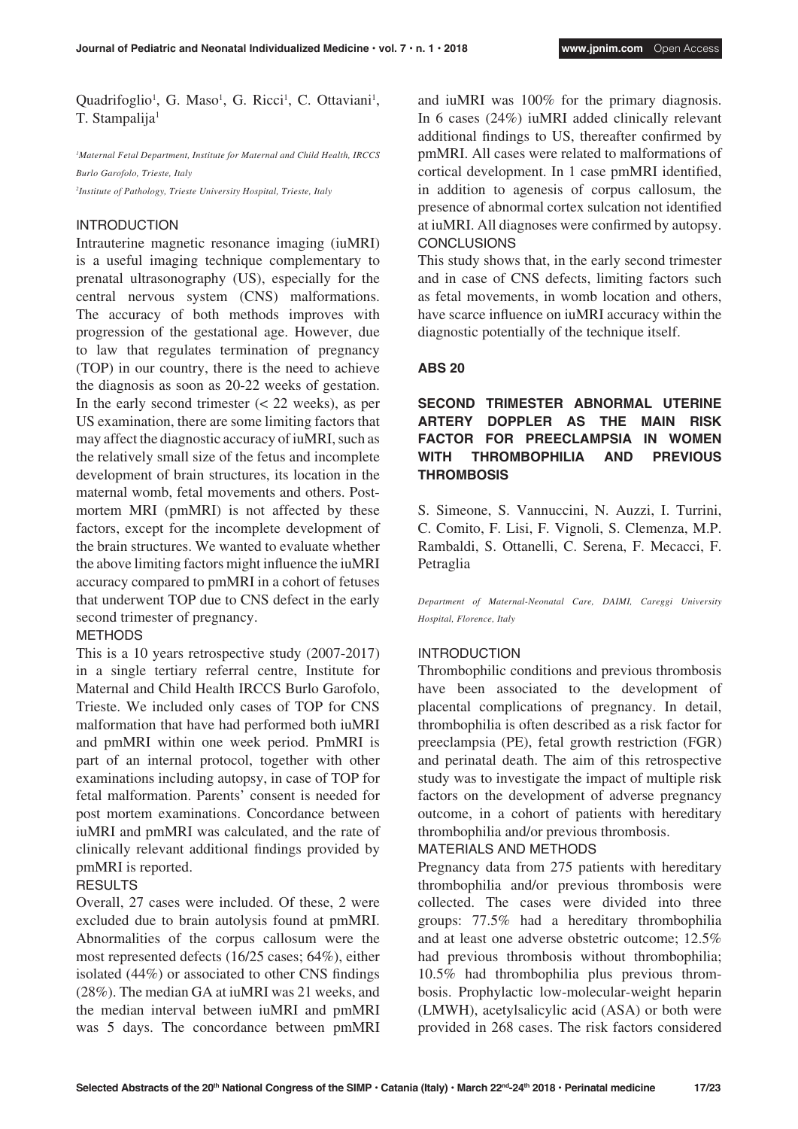Quadrifoglio<sup>1</sup>, G. Maso<sup>1</sup>, G. Ricci<sup>1</sup>, C. Ottaviani<sup>1</sup>, T. Stampalija<sup>1</sup>

*1 Maternal Fetal Department, Institute for Maternal and Child Health, IRCCS Burlo Garofolo, Trieste, Italy*

*2 Institute of Pathology, Trieste University Hospital, Trieste, Italy*

#### INTRODUCTION

Intrauterine magnetic resonance imaging (iuMRI) is a useful imaging technique complementary to prenatal ultrasonography (US), especially for the central nervous system (CNS) malformations. The accuracy of both methods improves with progression of the gestational age. However, due to law that regulates termination of pregnancy (TOP) in our country, there is the need to achieve the diagnosis as soon as 20-22 weeks of gestation. In the early second trimester  $\approx$  22 weeks), as per US examination, there are some limiting factors that may affect the diagnostic accuracy of iuMRI, such as the relatively small size of the fetus and incomplete development of brain structures, its location in the maternal womb, fetal movements and others. Postmortem MRI (pmMRI) is not affected by these factors, except for the incomplete development of the brain structures. We wanted to evaluate whether the above limiting factors might influence the iuMRI accuracy compared to pmMRI in a cohort of fetuses that underwent TOP due to CNS defect in the early second trimester of pregnancy.

#### METHODS

This is a 10 years retrospective study (2007-2017) in a single tertiary referral centre, Institute for Maternal and Child Health IRCCS Burlo Garofolo, Trieste. We included only cases of TOP for CNS malformation that have had performed both iuMRI and pmMRI within one week period. PmMRI is part of an internal protocol, together with other examinations including autopsy, in case of TOP for fetal malformation. Parents' consent is needed for post mortem examinations. Concordance between iuMRI and pmMRI was calculated, and the rate of clinically relevant additional findings provided by pmMRI is reported.

#### RESULTS

Overall, 27 cases were included. Of these, 2 were excluded due to brain autolysis found at pmMRI. Abnormalities of the corpus callosum were the most represented defects (16/25 cases; 64%), either isolated (44%) or associated to other CNS findings (28%). The median GA at iuMRI was 21 weeks, and the median interval between iuMRI and pmMRI was 5 days. The concordance between pmMRI and iuMRI was 100% for the primary diagnosis. In 6 cases (24%) iuMRI added clinically relevant additional findings to US, thereafter confirmed by pmMRI. All cases were related to malformations of cortical development. In 1 case pmMRI identified, in addition to agenesis of corpus callosum, the presence of abnormal cortex sulcation not identified at iuMRI. All diagnoses were confirmed by autopsy. **CONCLUSIONS** 

This study shows that, in the early second trimester and in case of CNS defects, limiting factors such as fetal movements, in womb location and others, have scarce influence on iuMRI accuracy within the diagnostic potentially of the technique itself.

#### **ABS 20**

### **SECOND TRIMESTER ABNORMAL UTERINE ARTERY DOPPLER AS THE MAIN RISK FACTOR FOR PREECLAMPSIA IN WOMEN WITH THROMBOPHILIA AND PREVIOUS THROMBOSIS**

S. Simeone, S. Vannuccini, N. Auzzi, I. Turrini, C. Comito, F. Lisi, F. Vignoli, S. Clemenza, M.P. Rambaldi, S. Ottanelli, C. Serena, F. Mecacci, F. Petraglia

*Department of Maternal-Neonatal Care, DAIMI, Careggi University Hospital, Florence, Italy*

### INTRODUCTION

Thrombophilic conditions and previous thrombosis have been associated to the development of placental complications of pregnancy. In detail, thrombophilia is often described as a risk factor for preeclampsia (PE), fetal growth restriction (FGR) and perinatal death. The aim of this retrospective study was to investigate the impact of multiple risk factors on the development of adverse pregnancy outcome, in a cohort of patients with hereditary thrombophilia and/or previous thrombosis.

MATERIALS AND METHODS

Pregnancy data from 275 patients with hereditary thrombophilia and/or previous thrombosis were collected. The cases were divided into three groups: 77.5% had a hereditary thrombophilia and at least one adverse obstetric outcome; 12.5% had previous thrombosis without thrombophilia; 10.5% had thrombophilia plus previous thrombosis. Prophylactic low-molecular-weight heparin (LMWH), acetylsalicylic acid (ASA) or both were provided in 268 cases. The risk factors considered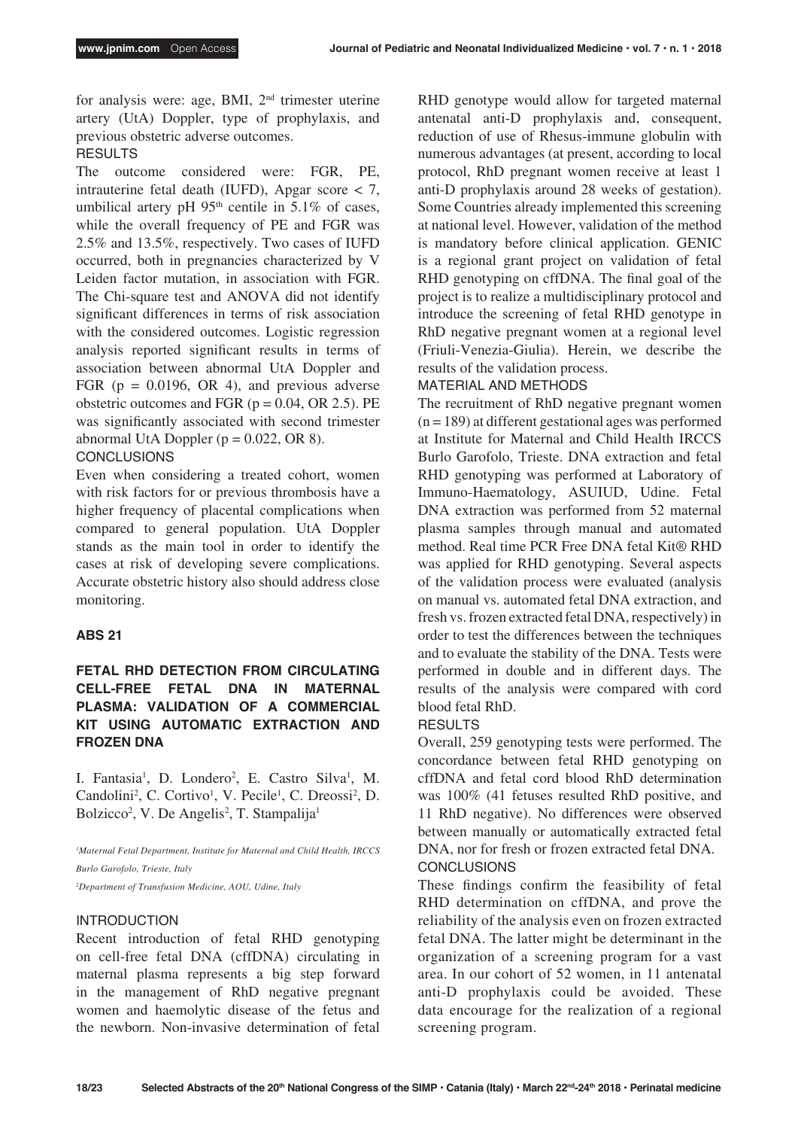for analysis were: age, BMI, 2nd trimester uterine artery (UtA) Doppler, type of prophylaxis, and previous obstetric adverse outcomes.

## RESULTS

The outcome considered were: FGR, PE, intrauterine fetal death (IUFD), Apgar score < 7, umbilical artery pH  $95<sup>th</sup>$  centile in 5.1% of cases, while the overall frequency of PE and FGR was 2.5% and 13.5%, respectively. Two cases of IUFD occurred, both in pregnancies characterized by V Leiden factor mutation, in association with FGR. The Chi-square test and ANOVA did not identify significant differences in terms of risk association with the considered outcomes. Logistic regression analysis reported significant results in terms of association between abnormal UtA Doppler and FGR ( $p = 0.0196$ , OR 4), and previous adverse obstetric outcomes and FGR  $(p = 0.04, \text{OR } 2.5)$ . PE was significantly associated with second trimester abnormal UtA Doppler  $(p = 0.022, \text{OR } 8)$ .

### **CONCLUSIONS**

Even when considering a treated cohort, women with risk factors for or previous thrombosis have a higher frequency of placental complications when compared to general population. UtA Doppler stands as the main tool in order to identify the cases at risk of developing severe complications. Accurate obstetric history also should address close monitoring.

#### **ABS 21**

### **FETAL RHD DETECTION FROM CIRCULATING CELL-FREE FETAL DNA IN MATERNAL PLASMA: VALIDATION OF A COMMERCIAL KIT USING AUTOMATIC EXTRACTION AND FROZEN DNA**

I. Fantasia<sup>1</sup>, D. Londero<sup>2</sup>, E. Castro Silva<sup>1</sup>, M. Candolini<sup>2</sup>, C. Cortivo<sup>1</sup>, V. Pecile<sup>1</sup>, C. Dreossi<sup>2</sup>, D. Bolzicco<sup>2</sup>, V. De Angelis<sup>2</sup>, T. Stampalija<sup>1</sup>

*1 Maternal Fetal Department, Institute for Maternal and Child Health, IRCCS Burlo Garofolo, Trieste, Italy*

*2 Department of Transfusion Medicine, AOU, Udine, Italy*

#### INTRODUCTION

Recent introduction of fetal RHD genotyping on cell-free fetal DNA (cffDNA) circulating in maternal plasma represents a big step forward in the management of RhD negative pregnant women and haemolytic disease of the fetus and the newborn. Non-invasive determination of fetal

RHD genotype would allow for targeted maternal antenatal anti-D prophylaxis and, consequent, reduction of use of Rhesus-immune globulin with numerous advantages (at present, according to local protocol, RhD pregnant women receive at least 1 anti-D prophylaxis around 28 weeks of gestation). Some Countries already implemented this screening at national level. However, validation of the method is mandatory before clinical application. GENIC is a regional grant project on validation of fetal RHD genotyping on cffDNA. The final goal of the project is to realize a multidisciplinary protocol and introduce the screening of fetal RHD genotype in RhD negative pregnant women at a regional level (Friuli-Venezia-Giulia). Herein, we describe the results of the validation process.

#### MATERIAL AND METHODS

The recruitment of RhD negative pregnant women  $(n = 189)$  at different gestational ages was performed at Institute for Maternal and Child Health IRCCS Burlo Garofolo, Trieste. DNA extraction and fetal RHD genotyping was performed at Laboratory of Immuno-Haematology, ASUIUD, Udine. Fetal DNA extraction was performed from 52 maternal plasma samples through manual and automated method. Real time PCR Free DNA fetal Kit® RHD was applied for RHD genotyping. Several aspects of the validation process were evaluated (analysis on manual vs. automated fetal DNA extraction, and fresh vs. frozen extracted fetal DNA, respectively) in order to test the differences between the techniques and to evaluate the stability of the DNA. Tests were performed in double and in different days. The results of the analysis were compared with cord blood fetal RhD.

### RESULTS

Overall, 259 genotyping tests were performed. The concordance between fetal RHD genotyping on cffDNA and fetal cord blood RhD determination was 100% (41 fetuses resulted RhD positive, and 11 RhD negative). No differences were observed between manually or automatically extracted fetal DNA, nor for fresh or frozen extracted fetal DNA. **CONCLUSIONS** 

These findings confirm the feasibility of fetal RHD determination on cffDNA, and prove the reliability of the analysis even on frozen extracted fetal DNA. The latter might be determinant in the organization of a screening program for a vast area. In our cohort of 52 women, in 11 antenatal anti-D prophylaxis could be avoided. These data encourage for the realization of a regional screening program.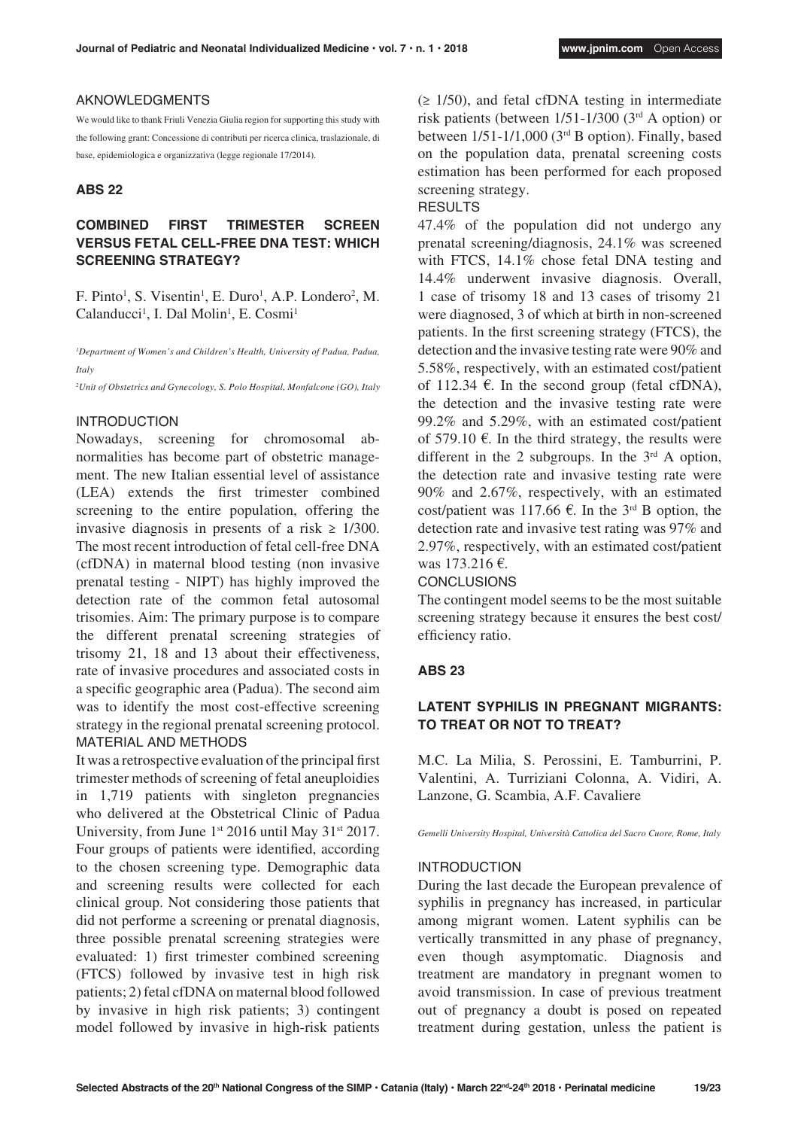#### AKNOWLEDGMENTS

We would like to thank Friuli Venezia Giulia region for supporting this study with the following grant: Concessione di contributi per ricerca clinica, traslazionale, di base, epidemiologica e organizzativa (legge regionale 17/2014).

#### **ABS 22**

### **COMBINED FIRST TRIMESTER SCREEN VERSUS FETAL CELL-FREE DNA TEST: WHICH SCREENING STRATEGY?**

F. Pinto<sup>1</sup>, S. Visentin<sup>1</sup>, E. Duro<sup>1</sup>, A.P. Londero<sup>2</sup>, M. Calanducci<sup>1</sup>, I. Dal Molin<sup>1</sup>, E. Cosmi<sup>1</sup>

<sup>1</sup>Department of Women's and Children's Health, University of Padua, Padua, *Italy*

*2 Unit of Obstetrics and Gynecology, S. Polo Hospital, Monfalcone (GO), Italy*

#### INTRODUCTION

Nowadays, screening for chromosomal abnormalities has become part of obstetric management. The new Italian essential level of assistance (LEA) extends the first trimester combined screening to the entire population, offering the invasive diagnosis in presents of a risk  $\geq$  1/300. The most recent introduction of fetal cell-free DNA (cfDNA) in maternal blood testing (non invasive prenatal testing - NIPT) has highly improved the detection rate of the common fetal autosomal trisomies. Aim: The primary purpose is to compare the different prenatal screening strategies of trisomy 21, 18 and 13 about their effectiveness, rate of invasive procedures and associated costs in a specific geographic area (Padua). The second aim was to identify the most cost-effective screening strategy in the regional prenatal screening protocol. MATERIAL AND METHODS

It was a retrospective evaluation of the principal first trimester methods of screening of fetal aneuploidies in 1,719 patients with singleton pregnancies who delivered at the Obstetrical Clinic of Padua University, from June  $1^{st}$  2016 until May 31<sup>st</sup> 2017. Four groups of patients were identified, according to the chosen screening type. Demographic data and screening results were collected for each clinical group. Not considering those patients that did not performe a screening or prenatal diagnosis, three possible prenatal screening strategies were evaluated: 1) first trimester combined screening (FTCS) followed by invasive test in high risk patients; 2) fetal cfDNA on maternal blood followed by invasive in high risk patients; 3) contingent model followed by invasive in high-risk patients  $(\geq 1/50)$ , and fetal cfDNA testing in intermediate risk patients (between 1/51-1/300 (3rd A option) or between 1/51-1/1,000 (3rd B option). Finally, based on the population data, prenatal screening costs estimation has been performed for each proposed screening strategy.

### RESULTS

47.4% of the population did not undergo any prenatal screening/diagnosis, 24.1% was screened with FTCS, 14.1% chose fetal DNA testing and 14.4% underwent invasive diagnosis. Overall, 1 case of trisomy 18 and 13 cases of trisomy 21 were diagnosed, 3 of which at birth in non-screened patients. In the first screening strategy (FTCS), the detection and the invasive testing rate were 90% and 5.58%, respectively, with an estimated cost/patient of 112.34  $\epsilon$ . In the second group (fetal cfDNA), the detection and the invasive testing rate were 99.2% and 5.29%, with an estimated cost/patient of 579.10  $\epsilon$ . In the third strategy, the results were different in the 2 subgroups. In the  $3<sup>rd</sup>$  A option, the detection rate and invasive testing rate were 90% and 2.67%, respectively, with an estimated cost/patient was 117.66  $\epsilon$ . In the 3<sup>rd</sup> B option, the detection rate and invasive test rating was 97% and 2.97%, respectively, with an estimated cost/patient was 173.216 €.

#### **CONCLUSIONS**

The contingent model seems to be the most suitable screening strategy because it ensures the best cost/ efficiency ratio.

#### **ABS 23**

### **LATENT SYPHILIS IN PREGNANT MIGRANTS: TO TREAT OR NOT TO TREAT?**

M.C. La Milia, S. Perossini, E. Tamburrini, P. Valentini, A. Turriziani Colonna, A. Vidiri, A. Lanzone, G. Scambia, A.F. Cavaliere

*Gemelli University Hospital, Università Cattolica del Sacro Cuore, Rome, Italy*

#### INTRODUCTION

During the last decade the European prevalence of syphilis in pregnancy has increased, in particular among migrant women. Latent syphilis can be vertically transmitted in any phase of pregnancy, even though asymptomatic. Diagnosis and treatment are mandatory in pregnant women to avoid transmission. In case of previous treatment out of pregnancy a doubt is posed on repeated treatment during gestation, unless the patient is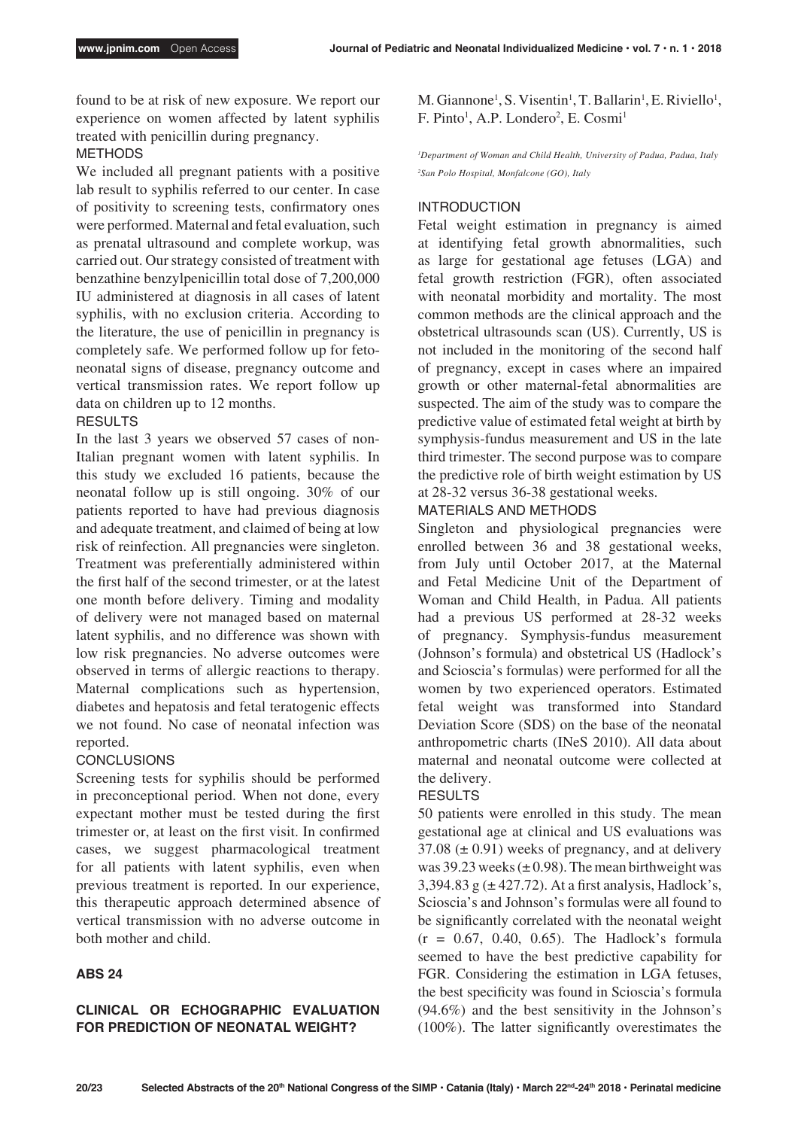found to be at risk of new exposure. We report our experience on women affected by latent syphilis treated with penicillin during pregnancy.

### METHODS

We included all pregnant patients with a positive lab result to syphilis referred to our center. In case of positivity to screening tests, confirmatory ones were performed. Maternal and fetal evaluation, such as prenatal ultrasound and complete workup, was carried out. Our strategy consisted of treatment with benzathine benzylpenicillin total dose of 7,200,000 IU administered at diagnosis in all cases of latent syphilis, with no exclusion criteria. According to the literature, the use of penicillin in pregnancy is completely safe. We performed follow up for fetoneonatal signs of disease, pregnancy outcome and vertical transmission rates. We report follow up data on children up to 12 months.

### RESULTS

In the last 3 years we observed 57 cases of non-Italian pregnant women with latent syphilis. In this study we excluded 16 patients, because the neonatal follow up is still ongoing. 30% of our patients reported to have had previous diagnosis and adequate treatment, and claimed of being at low risk of reinfection. All pregnancies were singleton. Treatment was preferentially administered within the first half of the second trimester, or at the latest one month before delivery. Timing and modality of delivery were not managed based on maternal latent syphilis, and no difference was shown with low risk pregnancies. No adverse outcomes were observed in terms of allergic reactions to therapy. Maternal complications such as hypertension, diabetes and hepatosis and fetal teratogenic effects we not found. No case of neonatal infection was reported.

### CONCLUSIONS

Screening tests for syphilis should be performed in preconceptional period. When not done, every expectant mother must be tested during the first trimester or, at least on the first visit. In confirmed cases, we suggest pharmacological treatment for all patients with latent syphilis, even when previous treatment is reported. In our experience, this therapeutic approach determined absence of vertical transmission with no adverse outcome in both mother and child.

### **ABS 24**

### **CLINICAL OR ECHOGRAPHIC EVALUATION FOR PREDICTION OF NEONATAL WEIGHT?**

M. Giannone<sup>1</sup>, S. Visentin<sup>1</sup>, T. Ballarin<sup>1</sup>, E. Riviello<sup>1</sup>, F. Pinto<sup>1</sup>, A.P. Londero<sup>2</sup>, E. Cosmi<sup>1</sup>

<sup>1</sup>Department of Woman and Child Health, University of Padua, Padua, Italy *2 San Polo Hospital, Monfalcone (GO), Italy*

### INTRODUCTION

Fetal weight estimation in pregnancy is aimed at identifying fetal growth abnormalities, such as large for gestational age fetuses (LGA) and fetal growth restriction (FGR), often associated with neonatal morbidity and mortality. The most common methods are the clinical approach and the obstetrical ultrasounds scan (US). Currently, US is not included in the monitoring of the second half of pregnancy, except in cases where an impaired growth or other maternal-fetal abnormalities are suspected. The aim of the study was to compare the predictive value of estimated fetal weight at birth by symphysis-fundus measurement and US in the late third trimester. The second purpose was to compare the predictive role of birth weight estimation by US at 28-32 versus 36-38 gestational weeks.

### MATERIALS AND METHODS

Singleton and physiological pregnancies were enrolled between 36 and 38 gestational weeks, from July until October 2017, at the Maternal and Fetal Medicine Unit of the Department of Woman and Child Health, in Padua. All patients had a previous US performed at 28-32 weeks of pregnancy. Symphysis-fundus measurement (Johnson's formula) and obstetrical US (Hadlock's and Scioscia's formulas) were performed for all the women by two experienced operators. Estimated fetal weight was transformed into Standard Deviation Score (SDS) on the base of the neonatal anthropometric charts (INeS 2010). All data about maternal and neonatal outcome were collected at the delivery.

### RESULTS

50 patients were enrolled in this study. The mean gestational age at clinical and US evaluations was  $37.08 \ (\pm 0.91)$  weeks of pregnancy, and at delivery was 39.23 weeks  $(\pm 0.98)$ . The mean birthweight was 3,394.83 g  $(\pm 427.72)$ . At a first analysis, Hadlock's, Scioscia's and Johnson's formulas were all found to be significantly correlated with the neonatal weight  $(r = 0.67, 0.40, 0.65)$ . The Hadlock's formula seemed to have the best predictive capability for FGR. Considering the estimation in LGA fetuses, the best specificity was found in Scioscia's formula (94.6%) and the best sensitivity in the Johnson's (100%). The latter significantly overestimates the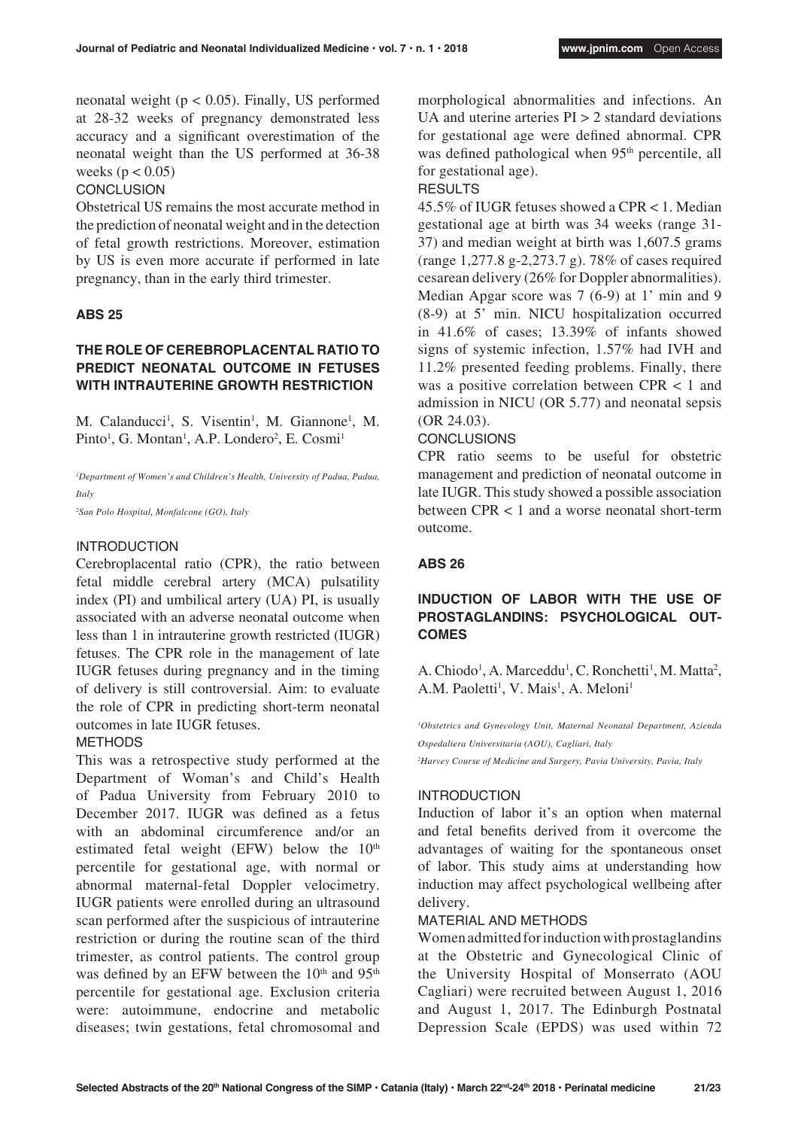neonatal weight ( $p < 0.05$ ). Finally, US performed at 28-32 weeks of pregnancy demonstrated less accuracy and a significant overestimation of the neonatal weight than the US performed at 36-38 weeks ( $p < 0.05$ )

### **CONCLUSION**

Obstetrical US remains the most accurate method in the prediction of neonatal weight and in the detection of fetal growth restrictions. Moreover, estimation by US is even more accurate if performed in late pregnancy, than in the early third trimester.

### **ABS 25**

### **THE ROLE OF CEREBROPLACENTAL RATIO TO PREDICT NEONATAL OUTCOME IN FETUSES WITH INTRAUTERINE GROWTH RESTRICTION**

M. Calanducci<sup>1</sup>, S. Visentin<sup>1</sup>, M. Giannone<sup>1</sup>, M. Pinto<sup>1</sup>, G. Montan<sup>1</sup>, A.P. Londero<sup>2</sup>, E. Cosmi<sup>1</sup>

<sup>1</sup>Department of Women's and Children's Health, University of Padua, Padua, *Italy* 

*2 San Polo Hospital, Monfalcone (GO), Italy*

#### INTRODUCTION

Cerebroplacental ratio (CPR), the ratio between fetal middle cerebral artery (MCA) pulsatility index (PI) and umbilical artery (UA) PI, is usually associated with an adverse neonatal outcome when less than 1 in intrauterine growth restricted (IUGR) fetuses. The CPR role in the management of late IUGR fetuses during pregnancy and in the timing of delivery is still controversial. Aim: to evaluate the role of CPR in predicting short-term neonatal outcomes in late IUGR fetuses.

#### METHODS

This was a retrospective study performed at the Department of Woman's and Child's Health of Padua University from February 2010 to December 2017. IUGR was defined as a fetus with an abdominal circumference and/or an estimated fetal weight (EFW) below the  $10<sup>th</sup>$ percentile for gestational age, with normal or abnormal maternal-fetal Doppler velocimetry. IUGR patients were enrolled during an ultrasound scan performed after the suspicious of intrauterine restriction or during the routine scan of the third trimester, as control patients. The control group was defined by an EFW between the 10<sup>th</sup> and 95<sup>th</sup> percentile for gestational age. Exclusion criteria were: autoimmune, endocrine and metabolic diseases; twin gestations, fetal chromosomal and morphological abnormalities and infections. An UA and uterine arteries  $PI > 2$  standard deviations for gestational age were defined abnormal. CPR was defined pathological when 95<sup>th</sup> percentile, all for gestational age).

**RESULTS** 

45.5% of IUGR fetuses showed a CPR < 1. Median gestational age at birth was 34 weeks (range 31- 37) and median weight at birth was 1,607.5 grams (range 1,277.8 g-2,273.7 g). 78% of cases required cesarean delivery (26% for Doppler abnormalities). Median Apgar score was 7 (6-9) at 1' min and 9 (8-9) at 5' min. NICU hospitalization occurred in 41.6% of cases; 13.39% of infants showed signs of systemic infection, 1.57% had IVH and 11.2% presented feeding problems. Finally, there was a positive correlation between CPR < 1 and admission in NICU (OR 5.77) and neonatal sepsis (OR 24.03).

### **CONCLUSIONS**

CPR ratio seems to be useful for obstetric management and prediction of neonatal outcome in late IUGR. This study showed a possible association between CPR < 1 and a worse neonatal short-term outcome.

#### **ABS 26**

### **INDUCTION OF LABOR WITH THE USE OF PROSTAGLANDINS: PSYCHOLOGICAL OUT-COMES**

A. Chiodo<sup>1</sup>, A. Marceddu<sup>1</sup>, C. Ronchetti<sup>1</sup>, M. Matta<sup>2</sup>, A.M. Paoletti<sup>1</sup>, V. Mais<sup>1</sup>, A. Meloni<sup>1</sup>

<sup>1</sup>Obstetrics and Gynecology Unit, Maternal Neonatal Department, Azienda *Ospedaliera Universitaria (AOU), Cagliari, Italy*

*2 Harvey Course of Medicine and Surgery, Pavia University, Pavia, Italy*

#### INTRODUCTION

Induction of labor it's an option when maternal and fetal benefits derived from it overcome the advantages of waiting for the spontaneous onset of labor. This study aims at understanding how induction may affect psychological wellbeing after delivery.

#### MATERIAL AND METHODS

Women admitted for induction with prostaglandins at the Obstetric and Gynecological Clinic of the University Hospital of Monserrato (AOU Cagliari) were recruited between August 1, 2016 and August 1, 2017. The Edinburgh Postnatal Depression Scale (EPDS) was used within 72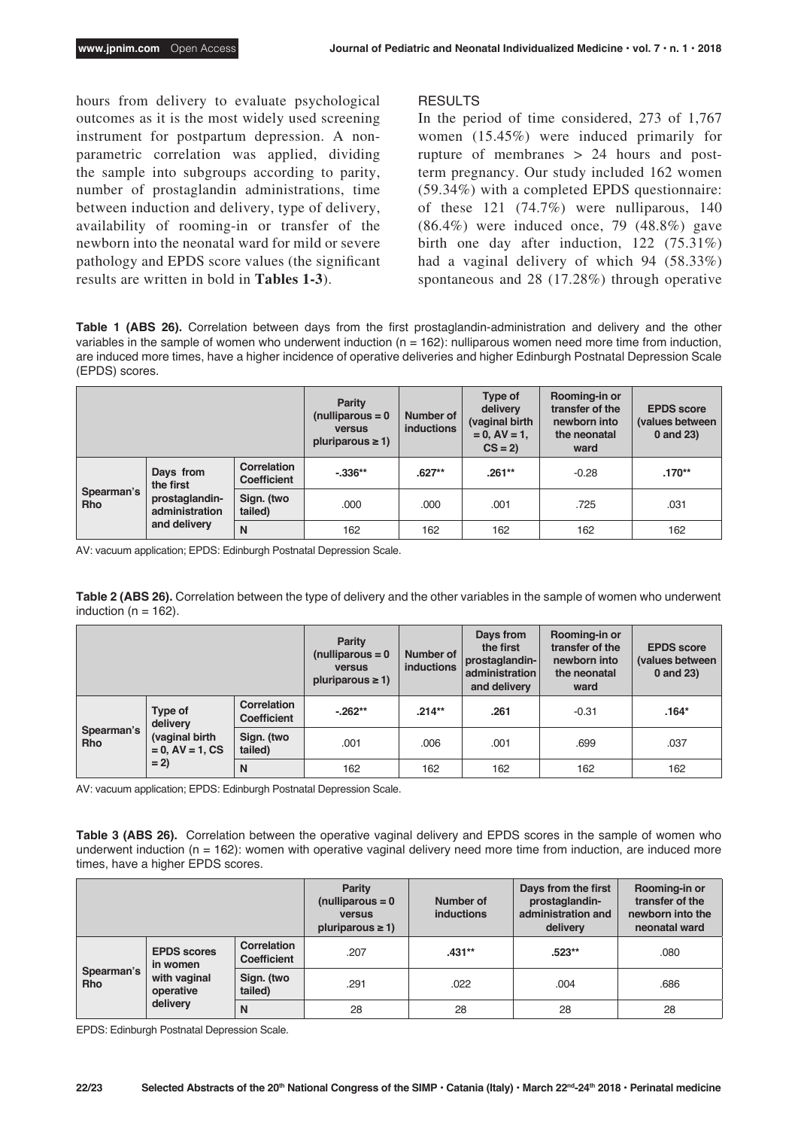hours from delivery to evaluate psychological outcomes as it is the most widely used screening instrument for postpartum depression. A nonparametric correlation was applied, dividing the sample into subgroups according to parity, number of prostaglandin administrations, time between induction and delivery, type of delivery, availability of rooming-in or transfer of the newborn into the neonatal ward for mild or severe pathology and EPDS score values (the significant results are written in bold in **Tables 1-3**).

#### RESULTS

In the period of time considered, 273 of 1,767 women (15.45%) were induced primarily for rupture of membranes > 24 hours and postterm pregnancy. Our study included 162 women (59.34%) with a completed EPDS questionnaire: of these 121 (74.7%) were nulliparous, 140 (86.4%) were induced once, 79 (48.8%) gave birth one day after induction, 122 (75.31%) had a vaginal delivery of which 94 (58.33%) spontaneous and 28 (17.28%) through operative

**Table 1 (ABS 26).** Correlation between days from the first prostaglandin-administration and delivery and the other variables in the sample of women who underwent induction (n = 162): nulliparous women need more time from induction, are induced more times, have a higher incidence of operative deliveries and higher Edinburgh Postnatal Depression Scale (EPDS) scores.

|                          |                                                  | <b>Parity</b><br>(nulliparous $= 0$<br><b>versus</b><br>pluriparous $\geq$ 1) | Number of<br><b>inductions</b> | Type of<br>delivery<br>(vaginal birth<br>$= 0$ , $AV = 1$ ,<br>$CS = 2$ | Rooming-in or<br>transfer of the<br>newborn into<br>the neonatal<br>ward | <b>EPDS</b> score<br>(values between)<br>0 and 23) |          |
|--------------------------|--------------------------------------------------|-------------------------------------------------------------------------------|--------------------------------|-------------------------------------------------------------------------|--------------------------------------------------------------------------|----------------------------------------------------|----------|
| Spearman's<br><b>Rho</b> | Days from<br>the first                           | Correlation<br>Coefficient                                                    | $-336**$                       | $.627**$                                                                | $.261**$                                                                 | $-0.28$                                            | $.170**$ |
|                          | prostaglandin-<br>administration<br>and delivery | Sign. (two<br>tailed)                                                         | .000                           | .000                                                                    | .001                                                                     | .725                                               | .031     |
|                          |                                                  | N                                                                             | 162                            | 162                                                                     | 162                                                                      | 162                                                | 162      |

AV: vacuum application; EPDS: Edinburgh Postnatal Depression Scale.

**Table 2 (ABS 26).** Correlation between the type of delivery and the other variables in the sample of women who underwent induction ( $n = 162$ ).

|                                   |                                                                | <b>Parity</b><br>(nulliparous $= 0$<br><b>versus</b><br>pluriparous $\geq$ 1) | Number of<br><b>inductions</b> | Days from<br>the first<br>prostaglandin-<br>administration<br>and delivery | Rooming-in or<br>transfer of the<br>newborn into<br>the neonatal<br>ward | <b>EPDS</b> score<br>(values between<br>0 and 23) |         |
|-----------------------------------|----------------------------------------------------------------|-------------------------------------------------------------------------------|--------------------------------|----------------------------------------------------------------------------|--------------------------------------------------------------------------|---------------------------------------------------|---------|
| Spearman's<br><b>Rho</b><br>$= 2$ | Type of<br>delivery<br>(vaginal birth<br>$= 0$ , AV $= 1$ , CS | Correlation<br><b>Coefficient</b>                                             | $-262**$                       | $.214***$                                                                  | .261                                                                     | $-0.31$                                           | $.164*$ |
|                                   |                                                                | Sign. (two<br>tailed)                                                         | .001                           | .006                                                                       | .001                                                                     | .699                                              | .037    |
|                                   |                                                                | N                                                                             | 162                            | 162                                                                        | 162                                                                      | 162                                               | 162     |

AV: vacuum application; EPDS: Edinburgh Postnatal Depression Scale.

**Table 3 (ABS 26).** Correlation between the operative vaginal delivery and EPDS scores in the sample of women who underwent induction (n = 162): women with operative vaginal delivery need more time from induction, are induced more times, have a higher EPDS scores.

|                          |                                                                         |                            | <b>Parity</b><br>(nulliparous $= 0$<br><b>versus</b><br>pluriparous $\geq$ 1) | Number of<br><b>inductions</b> | Days from the first<br>prostaglandin-<br>administration and<br>delivery | Rooming-in or<br>transfer of the<br>newborn into the<br>neonatal ward |
|--------------------------|-------------------------------------------------------------------------|----------------------------|-------------------------------------------------------------------------------|--------------------------------|-------------------------------------------------------------------------|-----------------------------------------------------------------------|
| Spearman's<br><b>Rho</b> | <b>EPDS</b> scores<br>in women<br>with vaginal<br>operative<br>delivery | Correlation<br>Coefficient | .207                                                                          | $.431**$                       | $.523**$                                                                | .080                                                                  |
|                          |                                                                         | Sign. (two<br>tailed)      | .291                                                                          | .022                           | .004                                                                    | .686                                                                  |
|                          |                                                                         | N                          | 28                                                                            | 28                             | 28                                                                      | 28                                                                    |

EPDS: Edinburgh Postnatal Depression Scale.